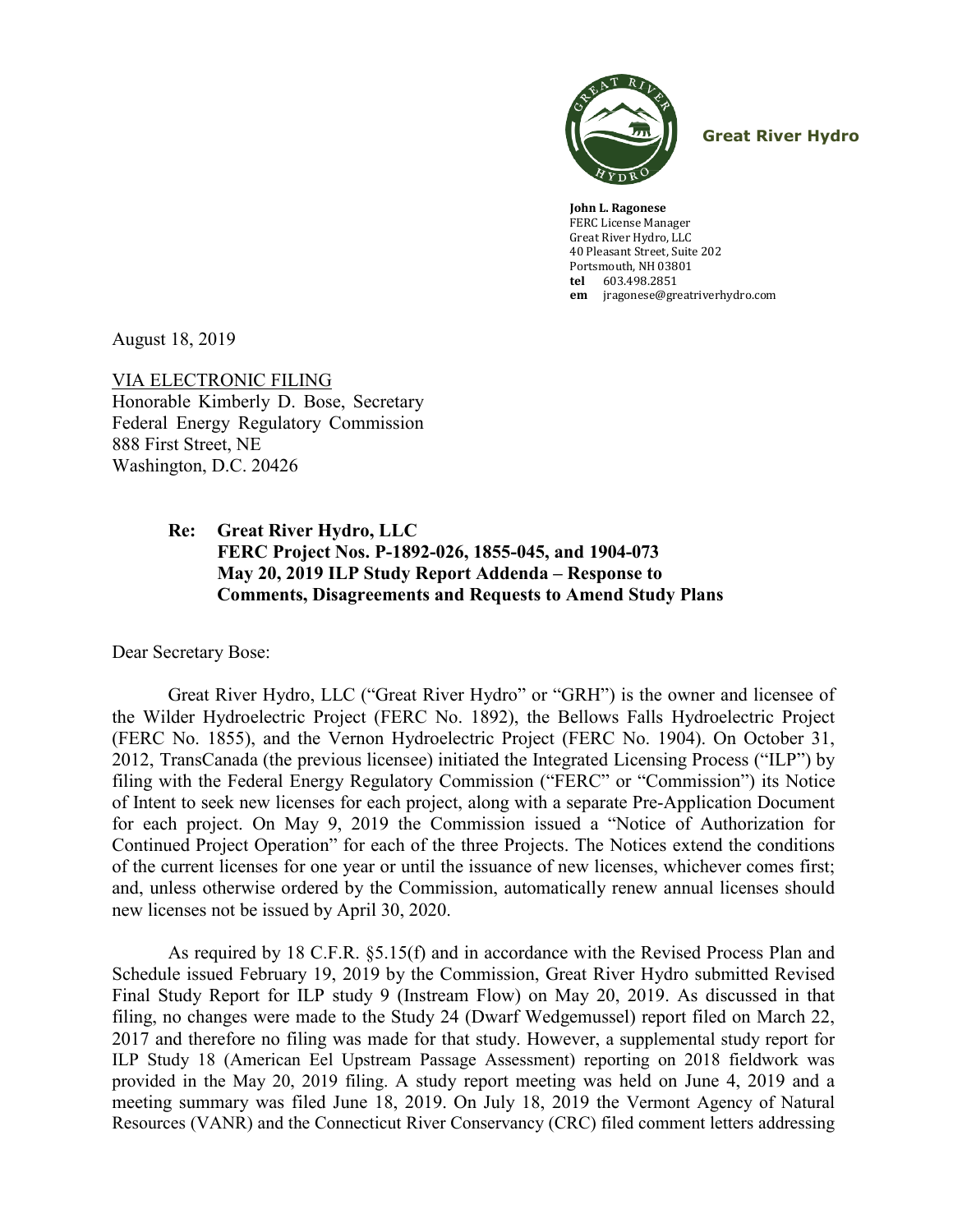

**Great River Hydro**

**John L. Ragonese**  FERC License Manager Great River Hydro, LLC 40 Pleasant Street, Suite 202 Portsmouth, NH 03801 **tel** 603.498.2851 **em** [jragonese@greatriverhydro.com](mailto:jragonese@greatriverhydro.com)

August 18, 2019

VIA ELECTRONIC FILING Honorable Kimberly D. Bose, Secretary Federal Energy Regulatory Commission 888 First Street, NE Washington, D.C. 20426

# **Re: Great River Hydro, LLC FERC Project Nos. P-1892-026, 1855-045, and 1904-073 May 20, 2019 ILP Study Report Addenda – Response to Comments, Disagreements and Requests to Amend Study Plans**

Dear Secretary Bose:

Great River Hydro, LLC ("Great River Hydro" or "GRH") is the owner and licensee of the Wilder Hydroelectric Project (FERC No. 1892), the Bellows Falls Hydroelectric Project (FERC No. 1855), and the Vernon Hydroelectric Project (FERC No. 1904). On October 31, 2012, TransCanada (the previous licensee) initiated the Integrated Licensing Process ("ILP") by filing with the Federal Energy Regulatory Commission ("FERC" or "Commission") its Notice of Intent to seek new licenses for each project, along with a separate Pre-Application Document for each project. On May 9, 2019 the Commission issued a "Notice of Authorization for Continued Project Operation" for each of the three Projects. The Notices extend the conditions of the current licenses for one year or until the issuance of new licenses, whichever comes first; and, unless otherwise ordered by the Commission, automatically renew annual licenses should new licenses not be issued by April 30, 2020.

As required by 18 C.F.R. §5.15(f) and in accordance with the Revised Process Plan and Schedule issued February 19, 2019 by the Commission, Great River Hydro submitted Revised Final Study Report for ILP study 9 (Instream Flow) on May 20, 2019. As discussed in that filing, no changes were made to the Study 24 (Dwarf Wedgemussel) report filed on March 22, 2017 and therefore no filing was made for that study. However, a supplemental study report for ILP Study 18 (American Eel Upstream Passage Assessment) reporting on 2018 fieldwork was provided in the May 20, 2019 filing. A study report meeting was held on June 4, 2019 and a meeting summary was filed June 18, 2019. On July 18, 2019 the Vermont Agency of Natural Resources (VANR) and the Connecticut River Conservancy (CRC) filed comment letters addressing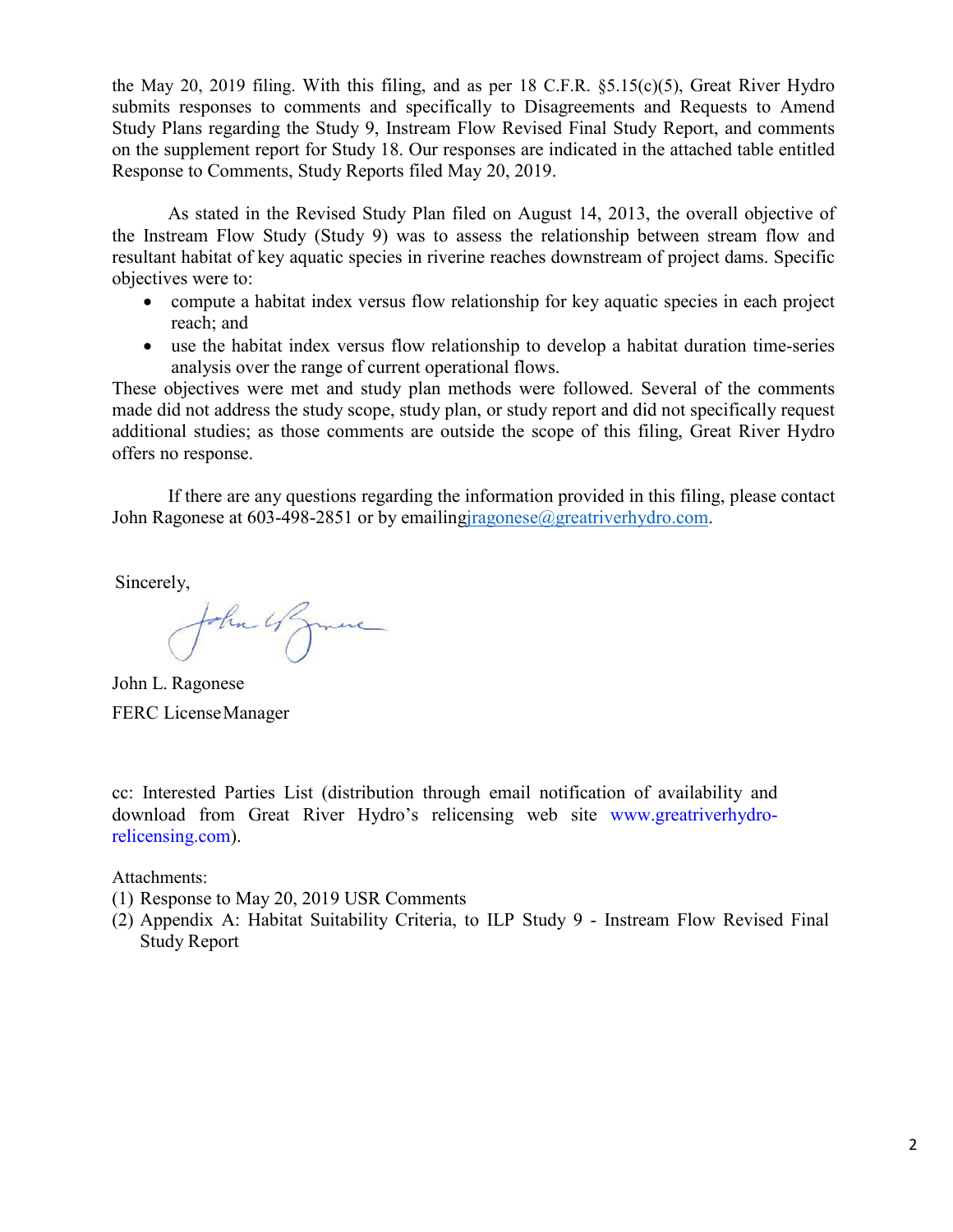the May 20, 2019 filing. With this filing, and as per 18 C.F.R. §5.15(c)(5), Great River Hydro submits responses to comments and specifically to Disagreements and Requests to Amend Study Plans regarding the Study 9, Instream Flow Revised Final Study Report, and comments on the supplement report for Study 18. Our responses are indicated in the attached table entitled Response to Comments, Study Reports filed May 20, 2019.

As stated in the Revised Study Plan filed on August 14, 2013, the overall objective of the Instream Flow Study (Study 9) was to assess the relationship between stream flow and resultant habitat of key aquatic species in riverine reaches downstream of project dams. Specific objectives were to:

- compute a habitat index versus flow relationship for key aquatic species in each project reach; and
- use the habitat index versus flow relationship to develop a habitat duration time-series analysis over the range of current operational flows.

These objectives were met and study plan methods were followed. Several of the comments made did not address the study scope, study plan, or study report and did not specifically request additional studies; as those comments are outside the scope of this filing, Great River Hydro offers no response.

If there are any questions regarding the information provided in this filing, please contact John Ragonese at 603-498-2851 or by emailing ragonese @greatriverhydro.com.

Sincerely,

John 4 June

John L. Ragonese FERC LicenseManager

cc: Interested Parties List (distribution through email notification of availability and download from Great River Hydro's relicensing web site www.greatriverhydrorelicensing.com).

Attachments:

- (1) Response to May 20, 2019 USR Comments
- (2) Appendix A: Habitat Suitability Criteria, to ILP Study 9 Instream Flow Revised Final Study Report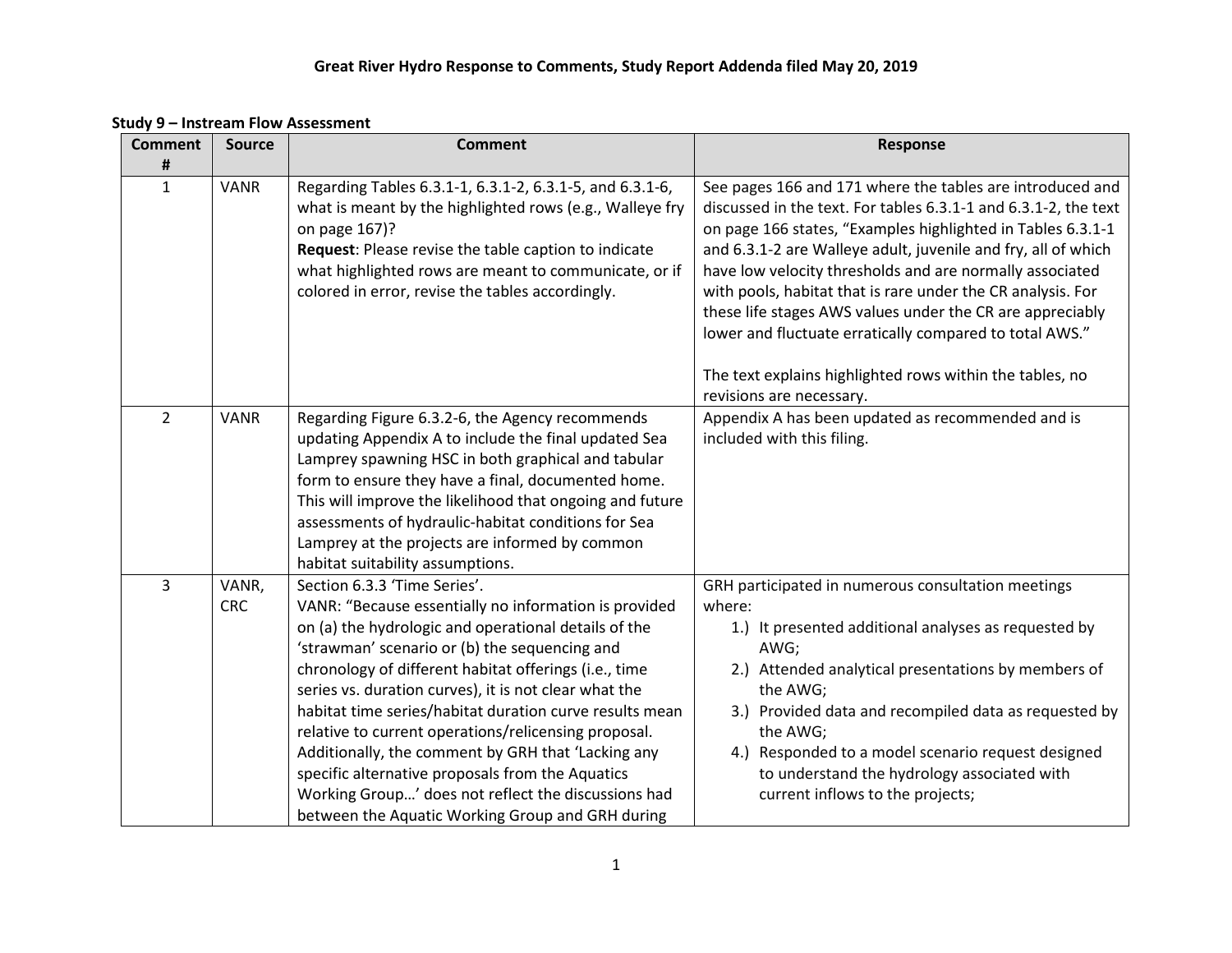**Study 9 – Instream Flow Assessment** 

| <b>Comment</b><br># | <b>Source</b>       | <b>Comment</b>                                                                                                                                                                                                                                                                                                                                                                                                                                                                                                                                                                                                                                           | <b>Response</b>                                                                                                                                                                                                                                                                                                                                                                                                                                                                                                                                                             |  |
|---------------------|---------------------|----------------------------------------------------------------------------------------------------------------------------------------------------------------------------------------------------------------------------------------------------------------------------------------------------------------------------------------------------------------------------------------------------------------------------------------------------------------------------------------------------------------------------------------------------------------------------------------------------------------------------------------------------------|-----------------------------------------------------------------------------------------------------------------------------------------------------------------------------------------------------------------------------------------------------------------------------------------------------------------------------------------------------------------------------------------------------------------------------------------------------------------------------------------------------------------------------------------------------------------------------|--|
| $\mathbf{1}$        | <b>VANR</b>         | Regarding Tables 6.3.1-1, 6.3.1-2, 6.3.1-5, and 6.3.1-6,<br>what is meant by the highlighted rows (e.g., Walleye fry<br>on page 167)?<br>Request: Please revise the table caption to indicate<br>what highlighted rows are meant to communicate, or if<br>colored in error, revise the tables accordingly.                                                                                                                                                                                                                                                                                                                                               | See pages 166 and 171 where the tables are introduced and<br>discussed in the text. For tables 6.3.1-1 and 6.3.1-2, the text<br>on page 166 states, "Examples highlighted in Tables 6.3.1-1<br>and 6.3.1-2 are Walleye adult, juvenile and fry, all of which<br>have low velocity thresholds and are normally associated<br>with pools, habitat that is rare under the CR analysis. For<br>these life stages AWS values under the CR are appreciably<br>lower and fluctuate erratically compared to total AWS."<br>The text explains highlighted rows within the tables, no |  |
| $\overline{2}$      | <b>VANR</b>         | Regarding Figure 6.3.2-6, the Agency recommends<br>updating Appendix A to include the final updated Sea<br>Lamprey spawning HSC in both graphical and tabular<br>form to ensure they have a final, documented home.<br>This will improve the likelihood that ongoing and future<br>assessments of hydraulic-habitat conditions for Sea<br>Lamprey at the projects are informed by common<br>habitat suitability assumptions.                                                                                                                                                                                                                             | revisions are necessary.<br>Appendix A has been updated as recommended and is<br>included with this filing.                                                                                                                                                                                                                                                                                                                                                                                                                                                                 |  |
| 3                   | VANR,<br><b>CRC</b> | Section 6.3.3 'Time Series'.<br>VANR: "Because essentially no information is provided<br>on (a) the hydrologic and operational details of the<br>'strawman' scenario or (b) the sequencing and<br>chronology of different habitat offerings (i.e., time<br>series vs. duration curves), it is not clear what the<br>habitat time series/habitat duration curve results mean<br>relative to current operations/relicensing proposal.<br>Additionally, the comment by GRH that 'Lacking any<br>specific alternative proposals from the Aquatics<br>Working Group' does not reflect the discussions had<br>between the Aquatic Working Group and GRH during | GRH participated in numerous consultation meetings<br>where:<br>1.) It presented additional analyses as requested by<br>AWG;<br>2.) Attended analytical presentations by members of<br>the AWG;<br>3.) Provided data and recompiled data as requested by<br>the AWG;<br>4.) Responded to a model scenario request designed<br>to understand the hydrology associated with<br>current inflows to the projects;                                                                                                                                                               |  |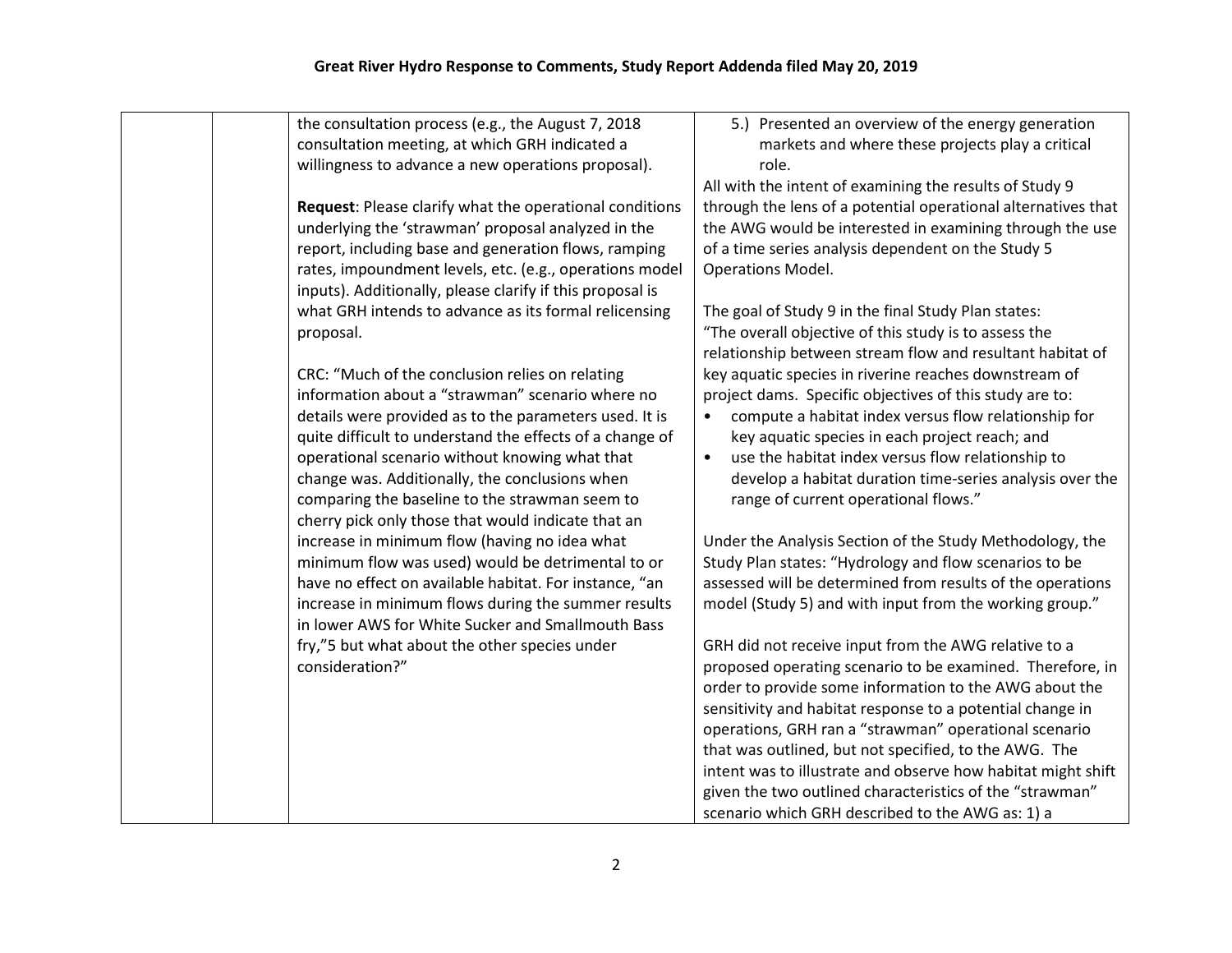| the consultation process (e.g., the August 7, 2018<br>consultation meeting, at which GRH indicated a<br>willingness to advance a new operations proposal).                                                                                                                                                                                                                                                                            | 5.) Presented an overview of the energy generation<br>markets and where these projects play a critical<br>role.<br>All with the intent of examining the results of Study 9                                                                                                                                                                                                                                                                                                             |
|---------------------------------------------------------------------------------------------------------------------------------------------------------------------------------------------------------------------------------------------------------------------------------------------------------------------------------------------------------------------------------------------------------------------------------------|----------------------------------------------------------------------------------------------------------------------------------------------------------------------------------------------------------------------------------------------------------------------------------------------------------------------------------------------------------------------------------------------------------------------------------------------------------------------------------------|
| <b>Request:</b> Please clarify what the operational conditions<br>underlying the 'strawman' proposal analyzed in the<br>report, including base and generation flows, ramping<br>rates, impoundment levels, etc. (e.g., operations model<br>inputs). Additionally, please clarify if this proposal is                                                                                                                                  | through the lens of a potential operational alternatives that<br>the AWG would be interested in examining through the use<br>of a time series analysis dependent on the Study 5<br><b>Operations Model.</b>                                                                                                                                                                                                                                                                            |
| what GRH intends to advance as its formal relicensing<br>proposal.                                                                                                                                                                                                                                                                                                                                                                    | The goal of Study 9 in the final Study Plan states:<br>"The overall objective of this study is to assess the<br>relationship between stream flow and resultant habitat of                                                                                                                                                                                                                                                                                                              |
| CRC: "Much of the conclusion relies on relating<br>information about a "strawman" scenario where no<br>details were provided as to the parameters used. It is<br>quite difficult to understand the effects of a change of<br>operational scenario without knowing what that<br>change was. Additionally, the conclusions when<br>comparing the baseline to the strawman seem to<br>cherry pick only those that would indicate that an | key aquatic species in riverine reaches downstream of<br>project dams. Specific objectives of this study are to:<br>compute a habitat index versus flow relationship for<br>$\bullet$<br>key aquatic species in each project reach; and<br>use the habitat index versus flow relationship to<br>$\bullet$<br>develop a habitat duration time-series analysis over the<br>range of current operational flows."                                                                          |
| increase in minimum flow (having no idea what<br>minimum flow was used) would be detrimental to or<br>have no effect on available habitat. For instance, "an<br>increase in minimum flows during the summer results<br>in lower AWS for White Sucker and Smallmouth Bass                                                                                                                                                              | Under the Analysis Section of the Study Methodology, the<br>Study Plan states: "Hydrology and flow scenarios to be<br>assessed will be determined from results of the operations<br>model (Study 5) and with input from the working group."                                                                                                                                                                                                                                            |
| fry,"5 but what about the other species under<br>consideration?"                                                                                                                                                                                                                                                                                                                                                                      | GRH did not receive input from the AWG relative to a<br>proposed operating scenario to be examined. Therefore, in<br>order to provide some information to the AWG about the<br>sensitivity and habitat response to a potential change in<br>operations, GRH ran a "strawman" operational scenario<br>that was outlined, but not specified, to the AWG. The<br>intent was to illustrate and observe how habitat might shift<br>given the two outlined characteristics of the "strawman" |
|                                                                                                                                                                                                                                                                                                                                                                                                                                       | scenario which GRH described to the AWG as: 1) a                                                                                                                                                                                                                                                                                                                                                                                                                                       |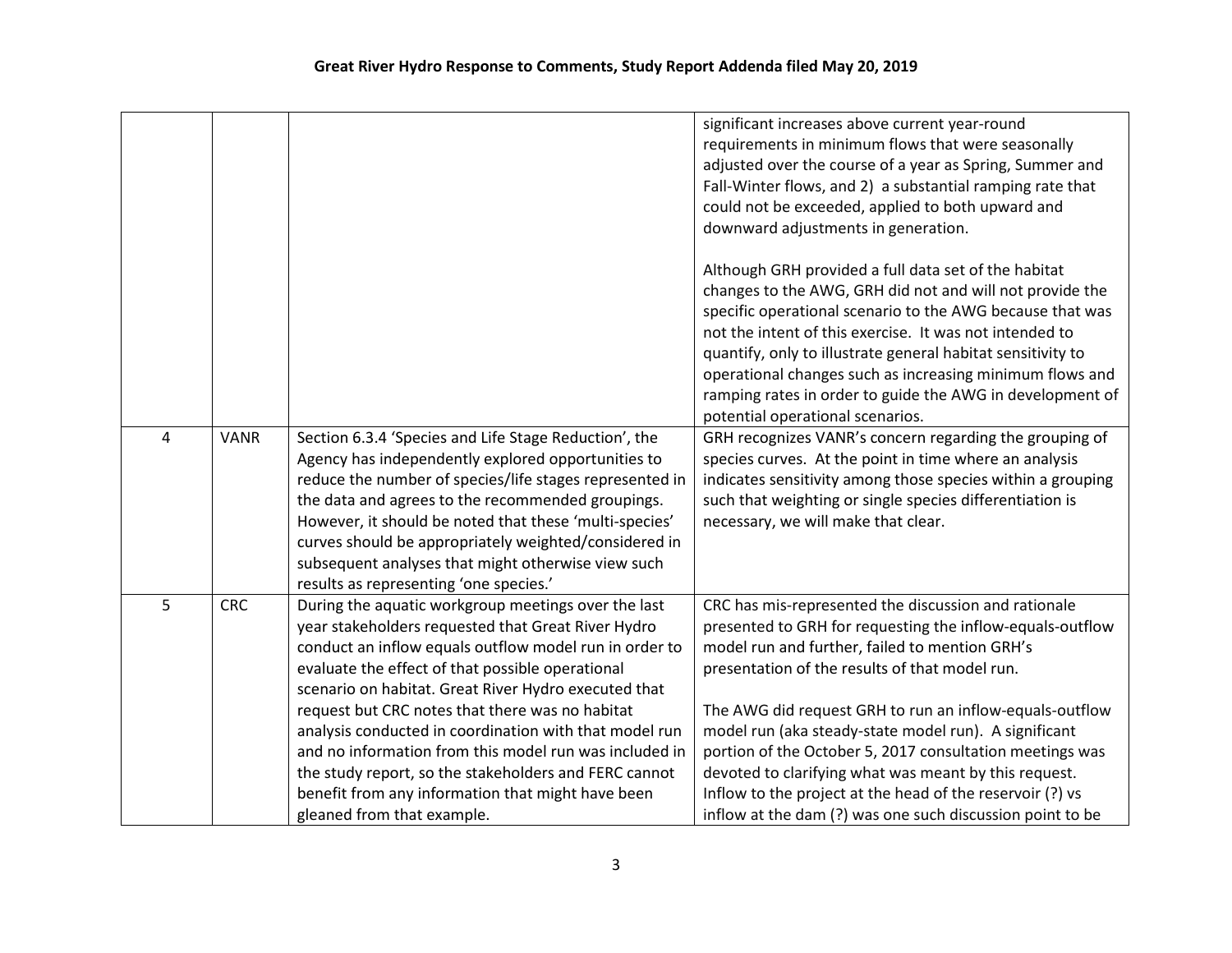|                |             |                                                                                                                                                                                                                                                                                                                                                                                                                                                                                                                                                                                                    | significant increases above current year-round<br>requirements in minimum flows that were seasonally<br>adjusted over the course of a year as Spring, Summer and<br>Fall-Winter flows, and 2) a substantial ramping rate that<br>could not be exceeded, applied to both upward and<br>downward adjustments in generation.                                                                                                                                                                                                                                                                |
|----------------|-------------|----------------------------------------------------------------------------------------------------------------------------------------------------------------------------------------------------------------------------------------------------------------------------------------------------------------------------------------------------------------------------------------------------------------------------------------------------------------------------------------------------------------------------------------------------------------------------------------------------|------------------------------------------------------------------------------------------------------------------------------------------------------------------------------------------------------------------------------------------------------------------------------------------------------------------------------------------------------------------------------------------------------------------------------------------------------------------------------------------------------------------------------------------------------------------------------------------|
|                |             |                                                                                                                                                                                                                                                                                                                                                                                                                                                                                                                                                                                                    | Although GRH provided a full data set of the habitat<br>changes to the AWG, GRH did not and will not provide the<br>specific operational scenario to the AWG because that was<br>not the intent of this exercise. It was not intended to<br>quantify, only to illustrate general habitat sensitivity to<br>operational changes such as increasing minimum flows and<br>ramping rates in order to guide the AWG in development of<br>potential operational scenarios.                                                                                                                     |
| $\overline{4}$ | <b>VANR</b> | Section 6.3.4 'Species and Life Stage Reduction', the<br>Agency has independently explored opportunities to<br>reduce the number of species/life stages represented in<br>the data and agrees to the recommended groupings.<br>However, it should be noted that these 'multi-species'<br>curves should be appropriately weighted/considered in<br>subsequent analyses that might otherwise view such<br>results as representing 'one species.'                                                                                                                                                     | GRH recognizes VANR's concern regarding the grouping of<br>species curves. At the point in time where an analysis<br>indicates sensitivity among those species within a grouping<br>such that weighting or single species differentiation is<br>necessary, we will make that clear.                                                                                                                                                                                                                                                                                                      |
| 5              | <b>CRC</b>  | During the aquatic workgroup meetings over the last<br>year stakeholders requested that Great River Hydro<br>conduct an inflow equals outflow model run in order to<br>evaluate the effect of that possible operational<br>scenario on habitat. Great River Hydro executed that<br>request but CRC notes that there was no habitat<br>analysis conducted in coordination with that model run<br>and no information from this model run was included in<br>the study report, so the stakeholders and FERC cannot<br>benefit from any information that might have been<br>gleaned from that example. | CRC has mis-represented the discussion and rationale<br>presented to GRH for requesting the inflow-equals-outflow<br>model run and further, failed to mention GRH's<br>presentation of the results of that model run.<br>The AWG did request GRH to run an inflow-equals-outflow<br>model run (aka steady-state model run). A significant<br>portion of the October 5, 2017 consultation meetings was<br>devoted to clarifying what was meant by this request.<br>Inflow to the project at the head of the reservoir (?) vs<br>inflow at the dam (?) was one such discussion point to be |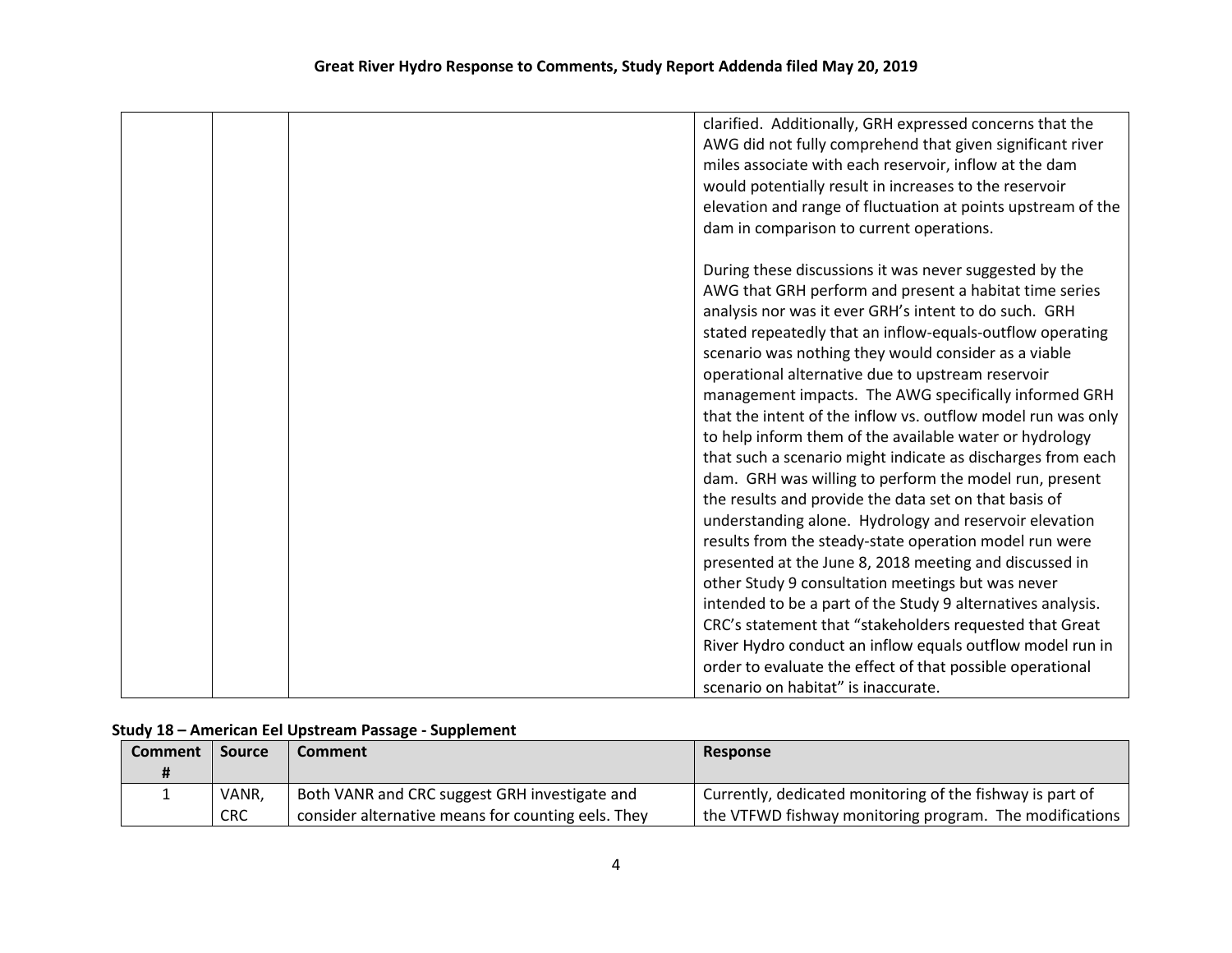|  | clarified. Additionally, GRH expressed concerns that the     |
|--|--------------------------------------------------------------|
|  | AWG did not fully comprehend that given significant river    |
|  | miles associate with each reservoir, inflow at the dam       |
|  | would potentially result in increases to the reservoir       |
|  | elevation and range of fluctuation at points upstream of the |
|  | dam in comparison to current operations.                     |
|  |                                                              |
|  | During these discussions it was never suggested by the       |
|  | AWG that GRH perform and present a habitat time series       |
|  | analysis nor was it ever GRH's intent to do such. GRH        |
|  | stated repeatedly that an inflow-equals-outflow operating    |
|  | scenario was nothing they would consider as a viable         |
|  | operational alternative due to upstream reservoir            |
|  | management impacts. The AWG specifically informed GRH        |
|  | that the intent of the inflow vs. outflow model run was only |
|  | to help inform them of the available water or hydrology      |
|  | that such a scenario might indicate as discharges from each  |
|  | dam. GRH was willing to perform the model run, present       |
|  | the results and provide the data set on that basis of        |
|  | understanding alone. Hydrology and reservoir elevation       |
|  | results from the steady-state operation model run were       |
|  | presented at the June 8, 2018 meeting and discussed in       |
|  | other Study 9 consultation meetings but was never            |
|  | intended to be a part of the Study 9 alternatives analysis.  |
|  | CRC's statement that "stakeholders requested that Great      |
|  | River Hydro conduct an inflow equals outflow model run in    |
|  | order to evaluate the effect of that possible operational    |
|  | scenario on habitat" is inaccurate.                          |

# **Study 18 – American Eel Upstream Passage - Supplement**

| <b>Comment</b> | <b>Source</b> | Comment                                            | Response                                                  |
|----------------|---------------|----------------------------------------------------|-----------------------------------------------------------|
|                |               |                                                    |                                                           |
|                | VANR,         | Both VANR and CRC suggest GRH investigate and      | Currently, dedicated monitoring of the fishway is part of |
|                | <b>CRC</b>    | consider alternative means for counting eels. They | the VTFWD fishway monitoring program. The modifications   |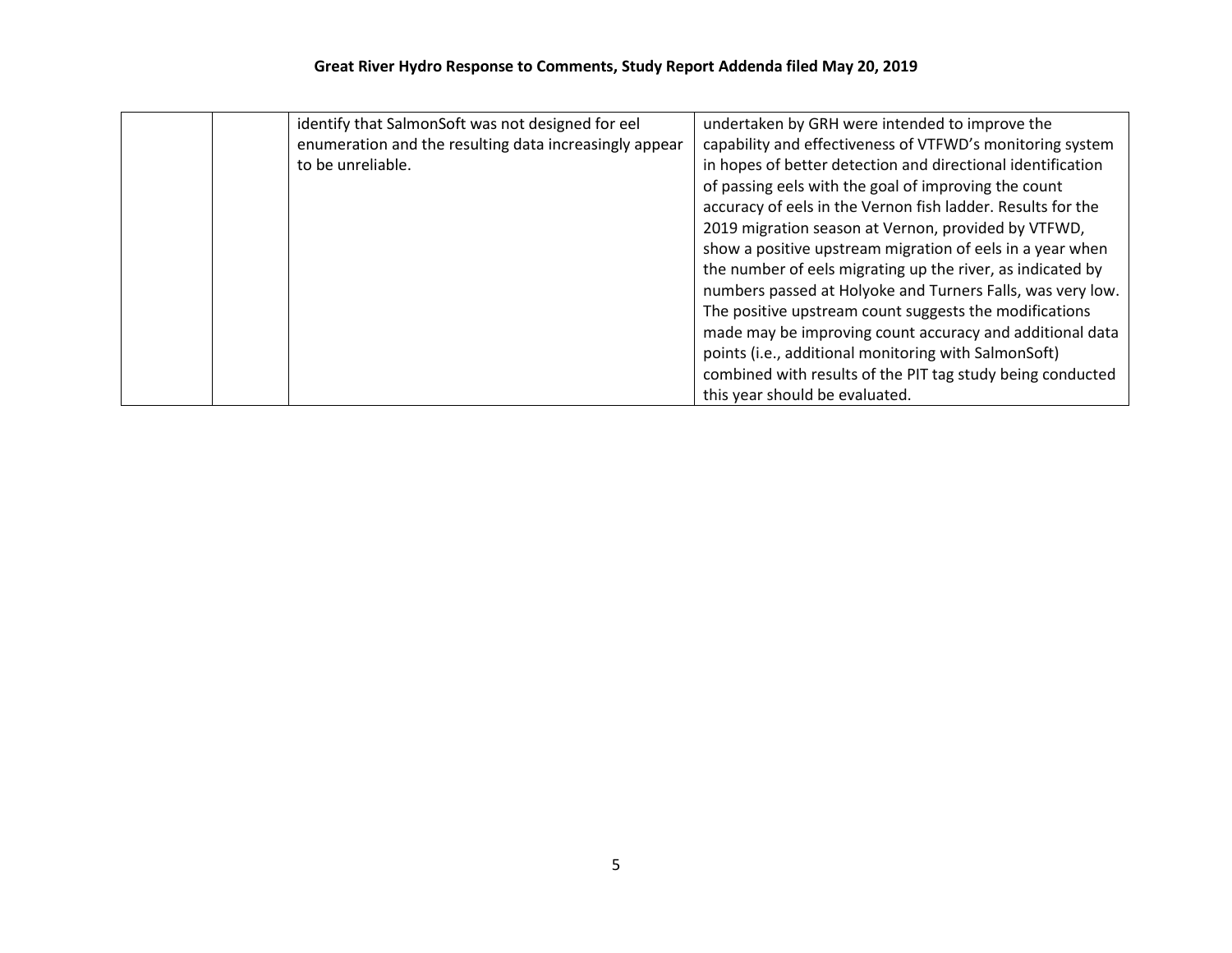| identify that SalmonSoft was not designed for eel      | undertaken by GRH were intended to improve the              |
|--------------------------------------------------------|-------------------------------------------------------------|
| enumeration and the resulting data increasingly appear | capability and effectiveness of VTFWD's monitoring system   |
| to be unreliable.                                      | in hopes of better detection and directional identification |
|                                                        | of passing eels with the goal of improving the count        |
|                                                        | accuracy of eels in the Vernon fish ladder. Results for the |
|                                                        | 2019 migration season at Vernon, provided by VTFWD,         |
|                                                        | show a positive upstream migration of eels in a year when   |
|                                                        | the number of eels migrating up the river, as indicated by  |
|                                                        | numbers passed at Holyoke and Turners Falls, was very low.  |
|                                                        | The positive upstream count suggests the modifications      |
|                                                        | made may be improving count accuracy and additional data    |
|                                                        | points (i.e., additional monitoring with SalmonSoft)        |
|                                                        | combined with results of the PIT tag study being conducted  |
|                                                        | this year should be evaluated.                              |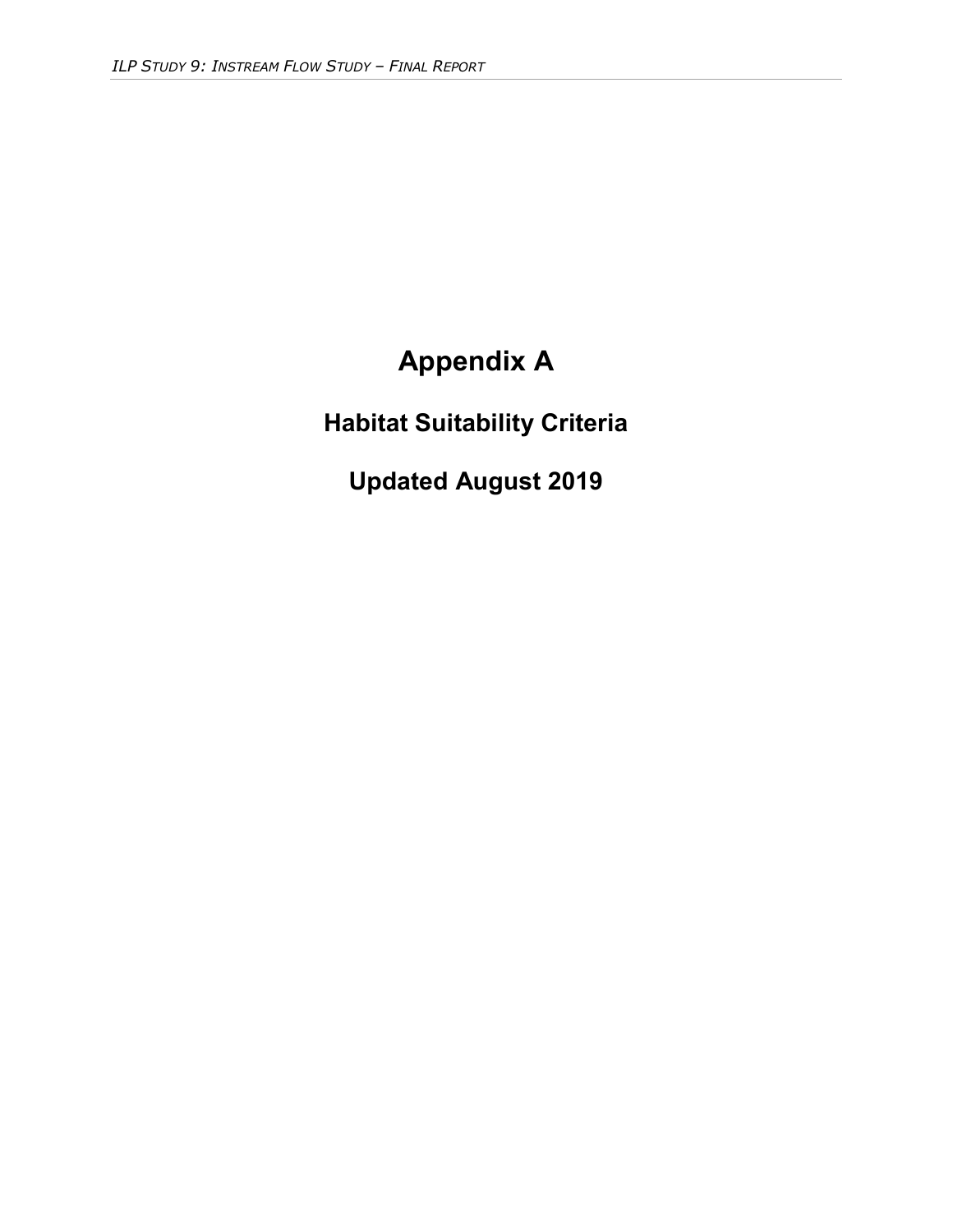# **Appendix A**

# **Habitat Suitability Criteria**

**Updated August 2019**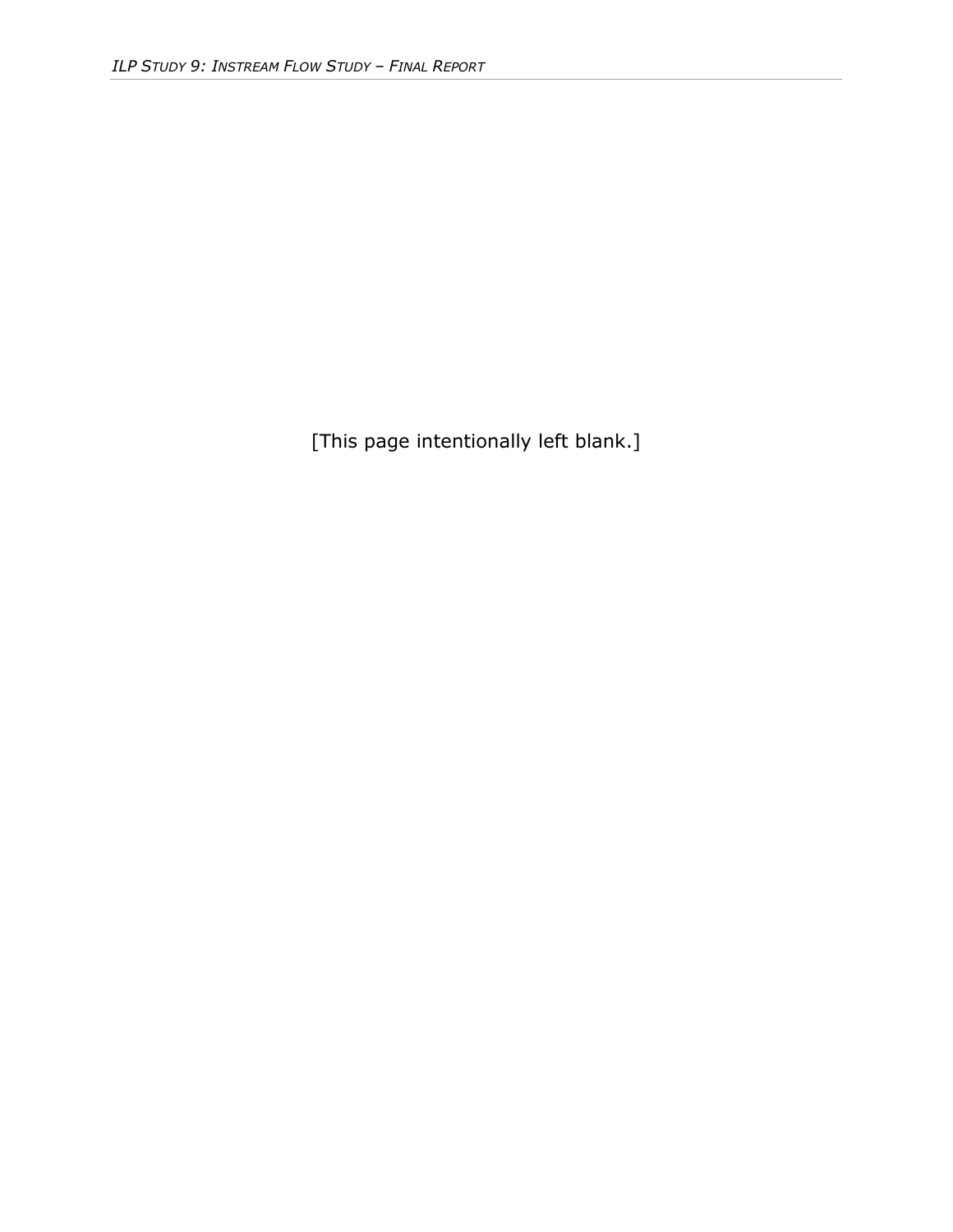[This page intentionally left blank.]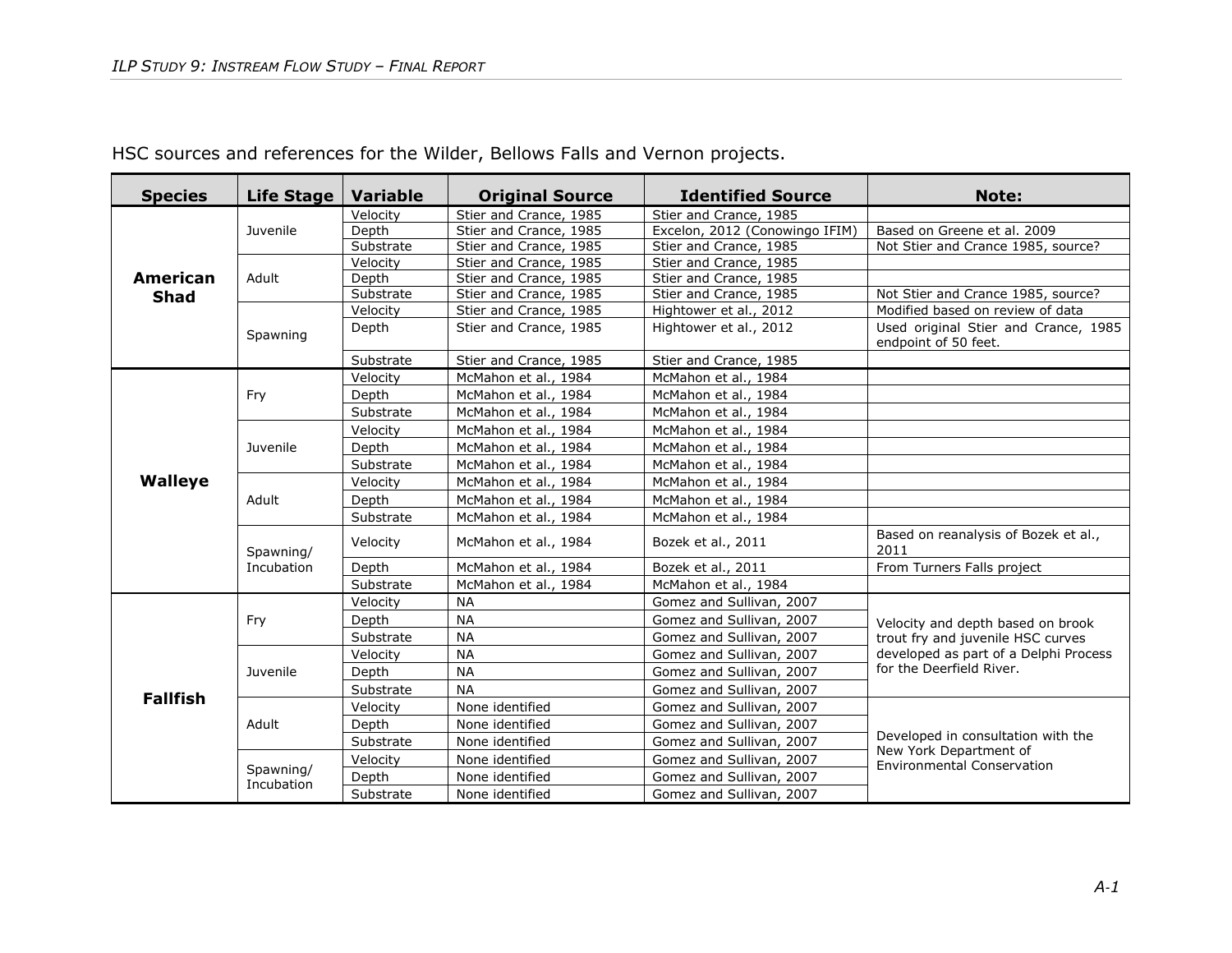| <b>Species</b>  | Life Stage              | <b>Variable</b> | <b>Original Source</b> | <b>Identified Source</b>       | Note:                                                        |
|-----------------|-------------------------|-----------------|------------------------|--------------------------------|--------------------------------------------------------------|
|                 |                         | Velocity        | Stier and Crance, 1985 | Stier and Crance, 1985         |                                                              |
|                 | Juvenile                | Depth           | Stier and Crance, 1985 | Excelon, 2012 (Conowingo IFIM) | Based on Greene et al. 2009                                  |
|                 |                         | Substrate       | Stier and Crance, 1985 | Stier and Crance, 1985         | Not Stier and Crance 1985, source?                           |
|                 |                         | Velocity        | Stier and Crance, 1985 | Stier and Crance, 1985         |                                                              |
| <b>American</b> | Adult                   | Depth           | Stier and Crance, 1985 | Stier and Crance, 1985         |                                                              |
| <b>Shad</b>     |                         | Substrate       | Stier and Crance, 1985 | Stier and Crance, 1985         | Not Stier and Crance 1985, source?                           |
|                 |                         | Velocity        | Stier and Crance, 1985 | Hightower et al., 2012         | Modified based on review of data                             |
|                 | Spawning                | Depth           | Stier and Crance, 1985 | Hightower et al., 2012         | Used original Stier and Crance, 1985<br>endpoint of 50 feet. |
|                 |                         | Substrate       | Stier and Crance, 1985 | Stier and Crance, 1985         |                                                              |
|                 |                         | Velocity        | McMahon et al., 1984   | McMahon et al., 1984           |                                                              |
|                 | Fry                     | Depth           | McMahon et al., 1984   | McMahon et al., 1984           |                                                              |
|                 |                         | Substrate       | McMahon et al., 1984   | McMahon et al., 1984           |                                                              |
|                 |                         | Velocity        | McMahon et al., 1984   | McMahon et al., 1984           |                                                              |
|                 | Juvenile                | Depth           | McMahon et al., 1984   | McMahon et al., 1984           |                                                              |
|                 |                         | Substrate       | McMahon et al., 1984   | McMahon et al., 1984           |                                                              |
| <b>Walleye</b>  | Adult                   | Velocity        | McMahon et al., 1984   | McMahon et al., 1984           |                                                              |
|                 |                         | Depth           | McMahon et al., 1984   | McMahon et al., 1984           |                                                              |
|                 |                         | Substrate       | McMahon et al., 1984   | McMahon et al., 1984           |                                                              |
|                 | Spawning/<br>Incubation | Velocity        | McMahon et al., 1984   | Bozek et al., 2011             | Based on reanalysis of Bozek et al.,<br>2011                 |
|                 |                         | Depth           | McMahon et al., 1984   | Bozek et al., 2011             | From Turners Falls project                                   |
|                 |                         | Substrate       | McMahon et al., 1984   | McMahon et al., 1984           |                                                              |
|                 |                         | Velocity        | <b>NA</b>              | Gomez and Sullivan, 2007       |                                                              |
|                 | Fry                     | Depth           | <b>NA</b>              | Gomez and Sullivan, 2007       | Velocity and depth based on brook                            |
|                 |                         | Substrate       | <b>NA</b>              | Gomez and Sullivan, 2007       | trout fry and juvenile HSC curves                            |
|                 |                         | Velocity        | <b>NA</b>              | Gomez and Sullivan, 2007       | developed as part of a Delphi Process                        |
|                 | Juvenile                | Depth           | <b>NA</b>              | Gomez and Sullivan, 2007       | for the Deerfield River.                                     |
|                 |                         | Substrate       | <b>NA</b>              | Gomez and Sullivan, 2007       |                                                              |
| <b>Fallfish</b> |                         | Velocity        | None identified        | Gomez and Sullivan, 2007       |                                                              |
|                 | Adult                   | Depth           | None identified        | Gomez and Sullivan, 2007       |                                                              |
|                 |                         | Substrate       | None identified        | Gomez and Sullivan, 2007       | Developed in consultation with the                           |
|                 |                         | Velocity        | None identified        | Gomez and Sullivan, 2007       | New York Department of                                       |
|                 | Spawning/               | Depth           | None identified        | Gomez and Sullivan, 2007       | <b>Environmental Conservation</b>                            |
|                 | Incubation              | Substrate       | None identified        | Gomez and Sullivan, 2007       |                                                              |

HSC sources and references for the Wilder, Bellows Falls and Vernon projects.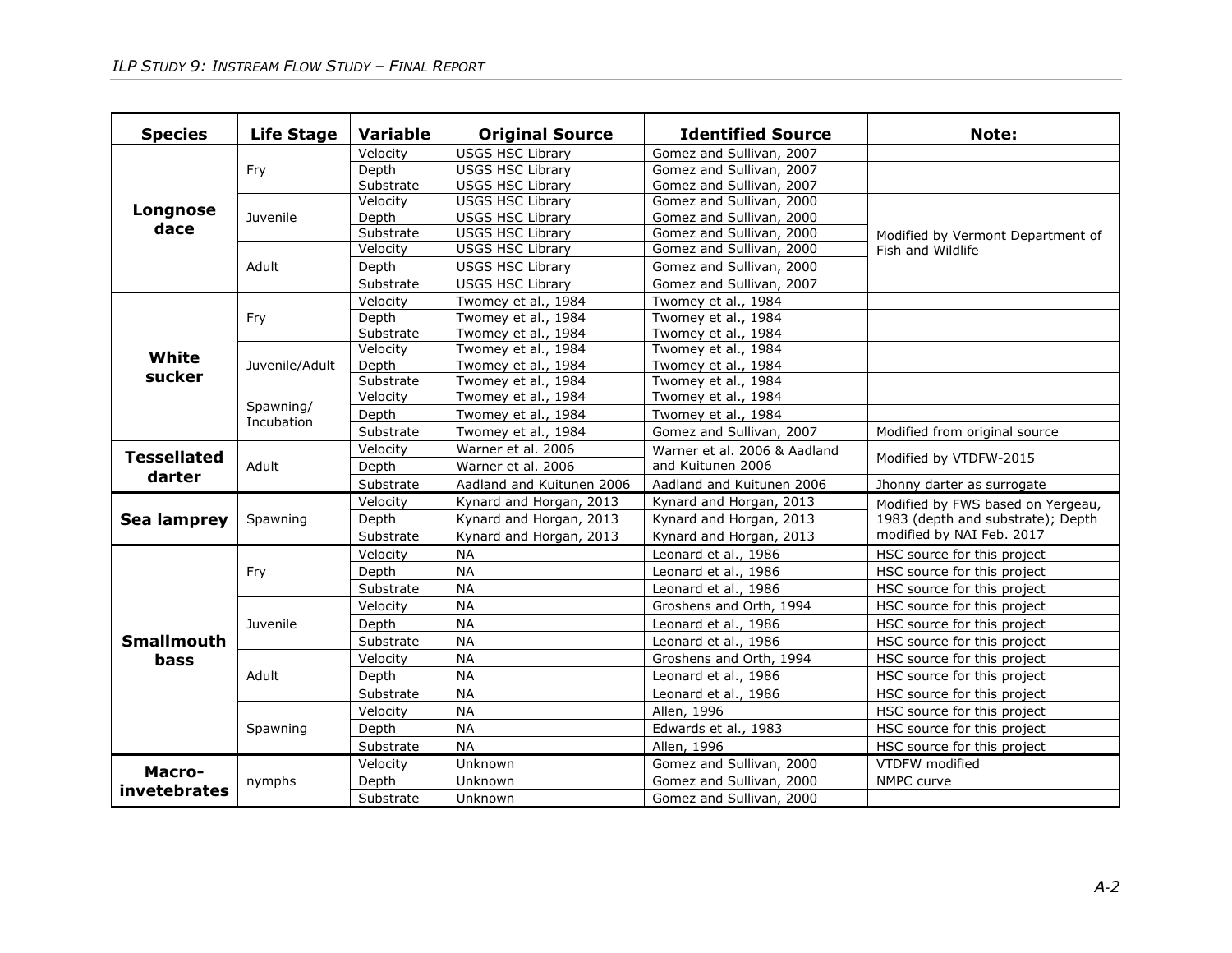| <b>Species</b>     | <b>Life Stage</b>       | <b>Variable</b> | <b>Original Source</b>    | <b>Identified Source</b>     | Note:                             |
|--------------------|-------------------------|-----------------|---------------------------|------------------------------|-----------------------------------|
|                    | Fry                     | Velocitv        | <b>USGS HSC Library</b>   | Gomez and Sullivan, 2007     |                                   |
|                    |                         | Depth           | <b>USGS HSC Library</b>   | Gomez and Sullivan, 2007     |                                   |
|                    |                         | Substrate       | <b>USGS HSC Library</b>   | Gomez and Sullivan, 2007     |                                   |
| Longnose           |                         | Velocity        | <b>USGS HSC Library</b>   | Gomez and Sullivan, 2000     |                                   |
| dace               | Juvenile                | Depth           | <b>USGS HSC Library</b>   | Gomez and Sullivan, 2000     |                                   |
|                    |                         | Substrate       | <b>USGS HSC Library</b>   | Gomez and Sullivan, 2000     | Modified by Vermont Department of |
|                    |                         | Velocity        | <b>USGS HSC Library</b>   | Gomez and Sullivan, 2000     | Fish and Wildlife                 |
|                    | Adult                   | Depth           | <b>USGS HSC Library</b>   | Gomez and Sullivan, 2000     |                                   |
|                    |                         | Substrate       | <b>USGS HSC Library</b>   | Gomez and Sullivan, 2007     |                                   |
|                    |                         | Velocity        | Twomey et al., 1984       | Twomey et al., 1984          |                                   |
|                    | Fry                     | Depth           | Twomey et al., 1984       | Twomey et al., 1984          |                                   |
|                    |                         | Substrate       | Twomey et al., 1984       | Twomey et al., 1984          |                                   |
| <b>White</b>       |                         | Velocity        | Twomey et al., 1984       | Twomey et al., 1984          |                                   |
|                    | Juvenile/Adult          | Depth           | Twomey et al., 1984       | Twomey et al., 1984          |                                   |
| sucker             |                         | Substrate       | Twomey et al., 1984       | Twomey et al., 1984          |                                   |
|                    |                         | Velocity        | Twomey et al., 1984       | Twomey et al., 1984          |                                   |
|                    | Spawning/<br>Incubation | Depth           | Twomey et al., 1984       | Twomey et al., 1984          |                                   |
|                    |                         | Substrate       | Twomey et al., 1984       | Gomez and Sullivan, 2007     | Modified from original source     |
|                    | Adult                   | Velocity        | Warner et al. 2006        | Warner et al. 2006 & Aadland | Modified by VTDFW-2015            |
| <b>Tessellated</b> |                         | Depth           | Warner et al. 2006        | and Kuitunen 2006            |                                   |
| darter             |                         | Substrate       | Aadland and Kuitunen 2006 | Aadland and Kuitunen 2006    | Jhonny darter as surrogate        |
|                    |                         | Velocity        | Kynard and Horgan, 2013   | Kynard and Horgan, 2013      | Modified by FWS based on Yergeau, |
| Sea lamprey        | Spawning                | Depth           | Kynard and Horgan, 2013   | Kynard and Horgan, 2013      | 1983 (depth and substrate); Depth |
|                    |                         | Substrate       | Kynard and Horgan, 2013   | Kynard and Horgan, 2013      | modified by NAI Feb. 2017         |
|                    |                         | Velocity        | <b>NA</b>                 | Leonard et al., 1986         | HSC source for this project       |
|                    | Fry                     | Depth           | <b>NA</b>                 | Leonard et al., 1986         | HSC source for this project       |
|                    |                         | Substrate       | <b>NA</b>                 | Leonard et al., 1986         | HSC source for this project       |
|                    |                         | Velocity        | <b>NA</b>                 | Groshens and Orth, 1994      | HSC source for this project       |
|                    | Juvenile                | Depth           | <b>NA</b>                 | Leonard et al., 1986         | HSC source for this project       |
| <b>Smallmouth</b>  |                         | Substrate       | <b>NA</b>                 | Leonard et al., 1986         | HSC source for this project       |
| bass               |                         | Velocity        | <b>NA</b>                 | Groshens and Orth, 1994      | HSC source for this project       |
|                    | Adult                   | Depth           | <b>NA</b>                 | Leonard et al., 1986         | HSC source for this project       |
|                    |                         | Substrate       | <b>NA</b>                 | Leonard et al., 1986         | HSC source for this project       |
|                    |                         | Velocity        | <b>NA</b>                 | Allen, 1996                  | HSC source for this project       |
|                    | Spawning                | Depth           | <b>NA</b>                 | Edwards et al., 1983         | HSC source for this project       |
|                    |                         | Substrate       | <b>NA</b>                 | Allen, 1996                  | HSC source for this project       |
|                    |                         | Velocity        | Unknown                   | Gomez and Sullivan, 2000     | VTDFW modified                    |
| <b>Macro-</b>      | nymphs                  | Depth           | Unknown                   | Gomez and Sullivan, 2000     | NMPC curve                        |
| invetebrates       |                         | Substrate       | Unknown                   | Gomez and Sullivan, 2000     |                                   |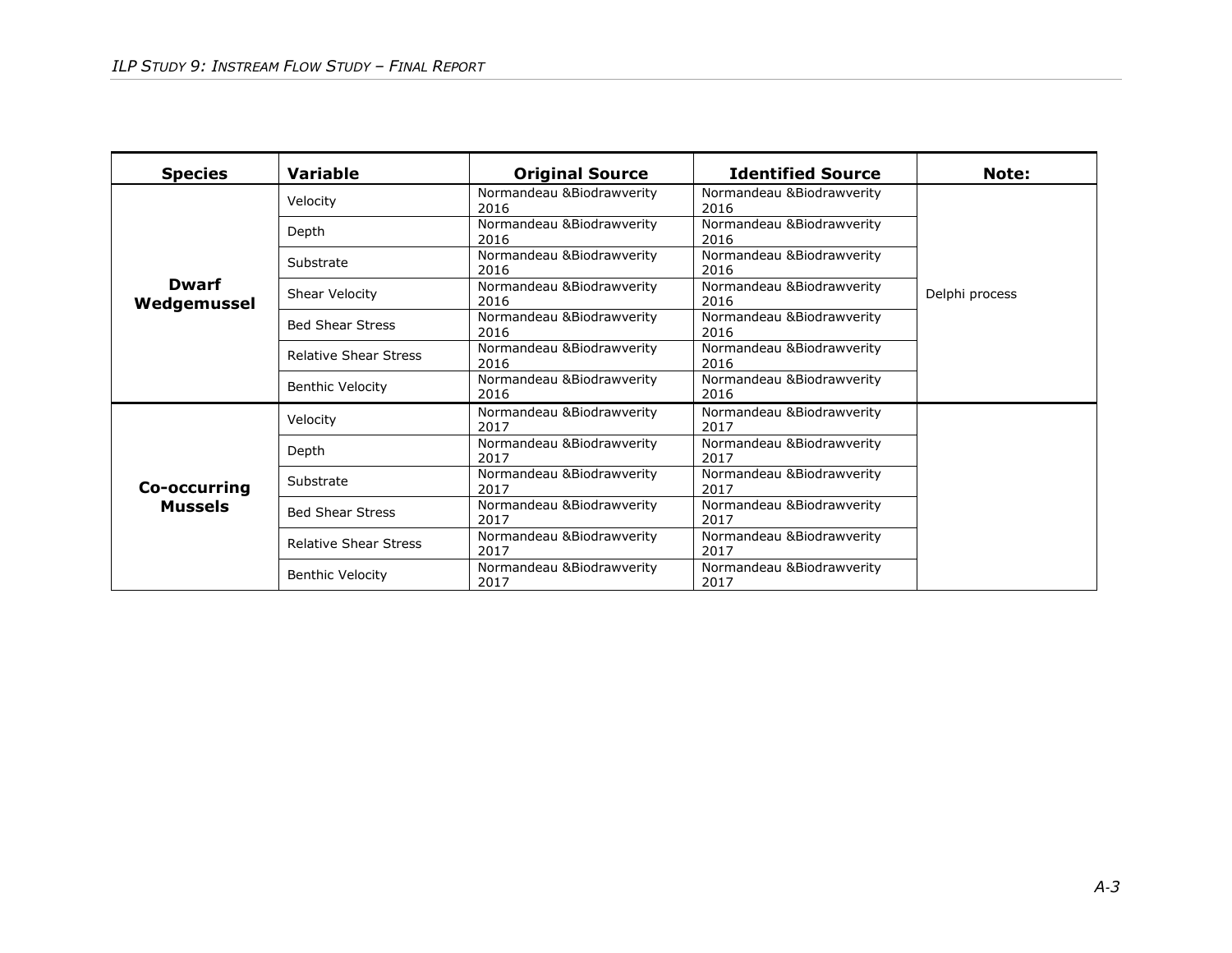| <b>Species</b>              | <b>Variable</b>              | <b>Original Source</b>            | <b>Identified Source</b>          | <b>Note:</b>   |
|-----------------------------|------------------------------|-----------------------------------|-----------------------------------|----------------|
|                             | Velocity                     | Normandeau &Biodrawverity<br>2016 | Normandeau &Biodrawverity<br>2016 |                |
|                             | Depth                        | Normandeau &Biodrawverity<br>2016 | Normandeau &Biodrawverity<br>2016 |                |
|                             | Substrate                    | Normandeau &Biodrawverity<br>2016 | Normandeau &Biodrawverity<br>2016 |                |
| <b>Dwarf</b><br>Wedgemussel | <b>Shear Velocity</b>        | Normandeau &Biodrawverity<br>2016 | Normandeau &Biodrawverity<br>2016 | Delphi process |
|                             | <b>Bed Shear Stress</b>      | Normandeau &Biodrawverity<br>2016 | Normandeau &Biodrawverity<br>2016 |                |
|                             | <b>Relative Shear Stress</b> | Normandeau &Biodrawverity<br>2016 | Normandeau &Biodrawverity<br>2016 |                |
|                             | <b>Benthic Velocity</b>      | Normandeau &Biodrawverity<br>2016 | Normandeau &Biodrawverity<br>2016 |                |
|                             | Velocity                     | Normandeau &Biodrawverity<br>2017 | Normandeau &Biodrawverity<br>2017 |                |
|                             | Depth                        | Normandeau &Biodrawverity<br>2017 | Normandeau &Biodrawverity<br>2017 |                |
| Co-occurring                | Substrate                    | Normandeau &Biodrawverity<br>2017 | Normandeau &Biodrawverity<br>2017 |                |
| <b>Mussels</b>              | <b>Bed Shear Stress</b>      | Normandeau &Biodrawverity<br>2017 | Normandeau &Biodrawverity<br>2017 |                |
|                             | <b>Relative Shear Stress</b> | Normandeau &Biodrawverity<br>2017 | Normandeau &Biodrawverity<br>2017 |                |
|                             | <b>Benthic Velocity</b>      | Normandeau &Biodrawverity<br>2017 | Normandeau &Biodrawverity<br>2017 |                |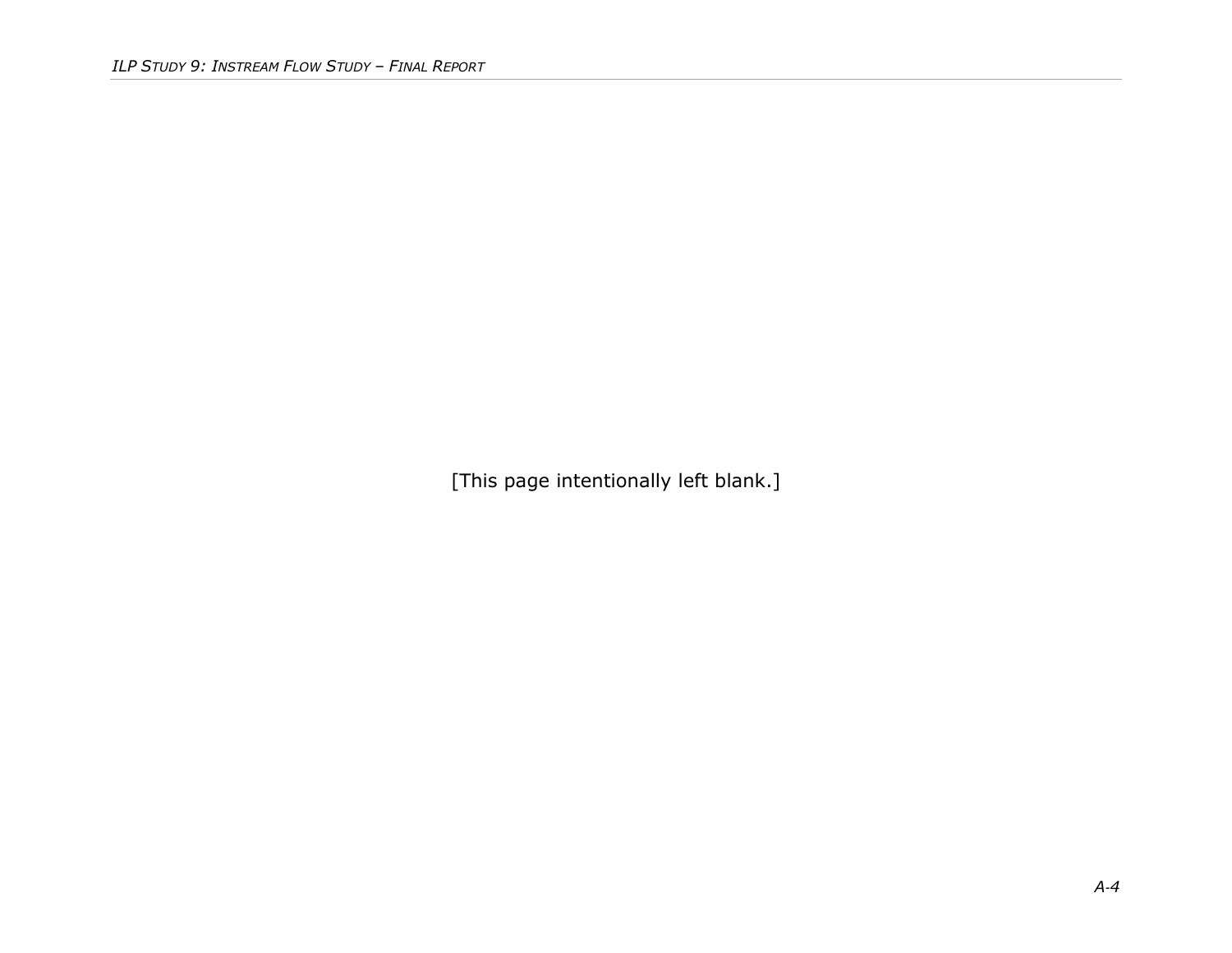[This page intentionally left blank.]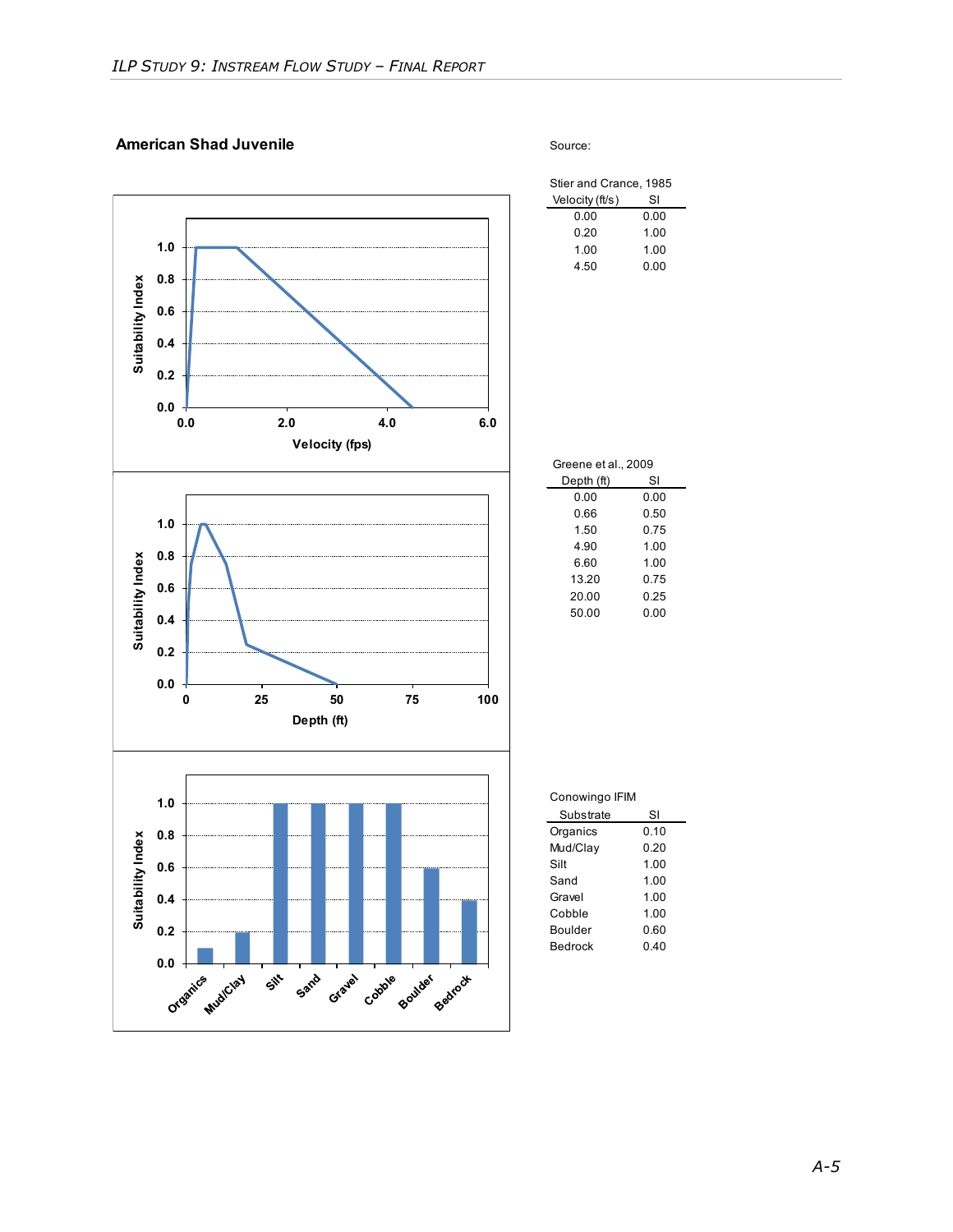#### **American Shad Juvenile** Source:

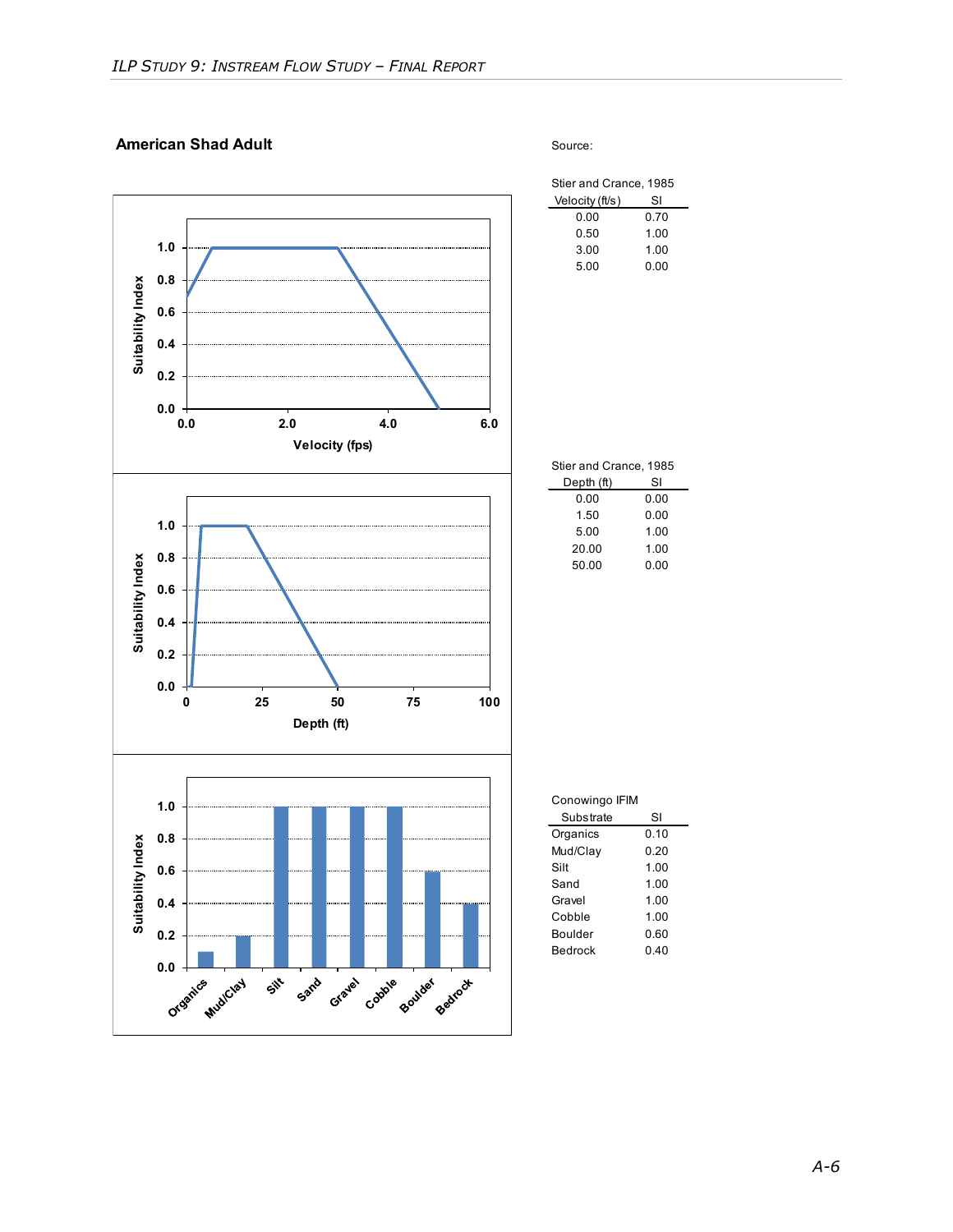#### **American Shad Adult** Source:

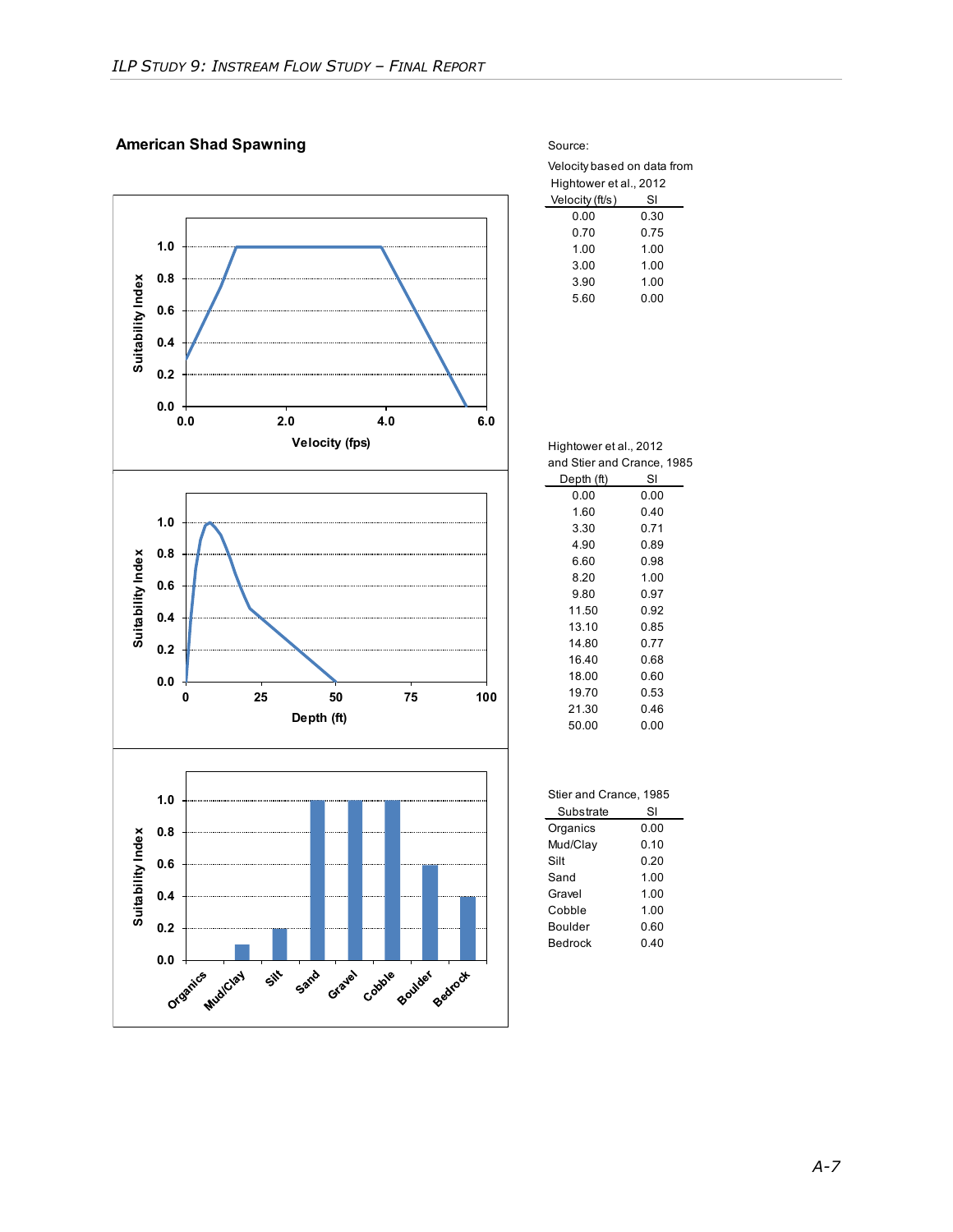## **American Shad Spawning** Source:



| Hightower et al., 2012     |      |  |  |  |  |
|----------------------------|------|--|--|--|--|
| and Stier and Crance, 1985 |      |  |  |  |  |
| Depth (ft)                 | SI   |  |  |  |  |
| 0.00                       | 0.00 |  |  |  |  |
| 1.60                       | 0.40 |  |  |  |  |
| 3.30                       | 0.71 |  |  |  |  |
| 4.90                       | 0.89 |  |  |  |  |
| 6.60                       | 0.98 |  |  |  |  |
| 8.20                       | 1.00 |  |  |  |  |
| 9.80                       | 0.97 |  |  |  |  |
| 11.50                      | 0.92 |  |  |  |  |
| 13.10                      | 0.85 |  |  |  |  |
| 14.80                      | 0.77 |  |  |  |  |
| 16.40                      | 0.68 |  |  |  |  |
| 18.00                      | 0.60 |  |  |  |  |
| 19.70                      | 0.53 |  |  |  |  |
| 21.30                      | 0.46 |  |  |  |  |
| 50.00                      | 0.00 |  |  |  |  |
|                            |      |  |  |  |  |

Velocity based on data from

3.90 1.00

| ау | 0.10 |  |
|----|------|--|
|    | 0.20 |  |
|    | 1.00 |  |
|    | 1.00 |  |
|    | 1.00 |  |
| r  | 0.60 |  |
| k  | 0.40 |  |
|    |      |  |
|    |      |  |
|    |      |  |
|    |      |  |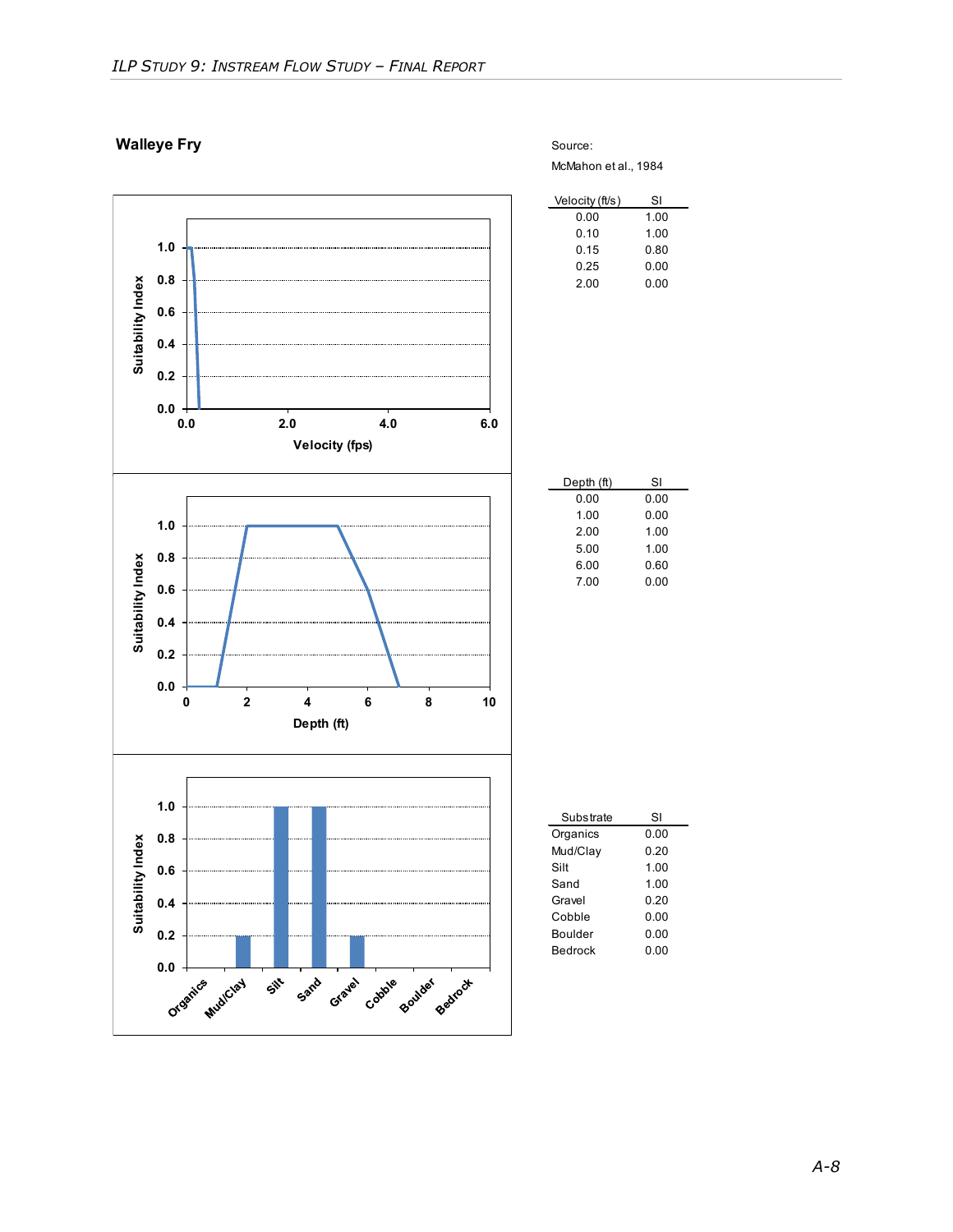

McMahon et al., 1984

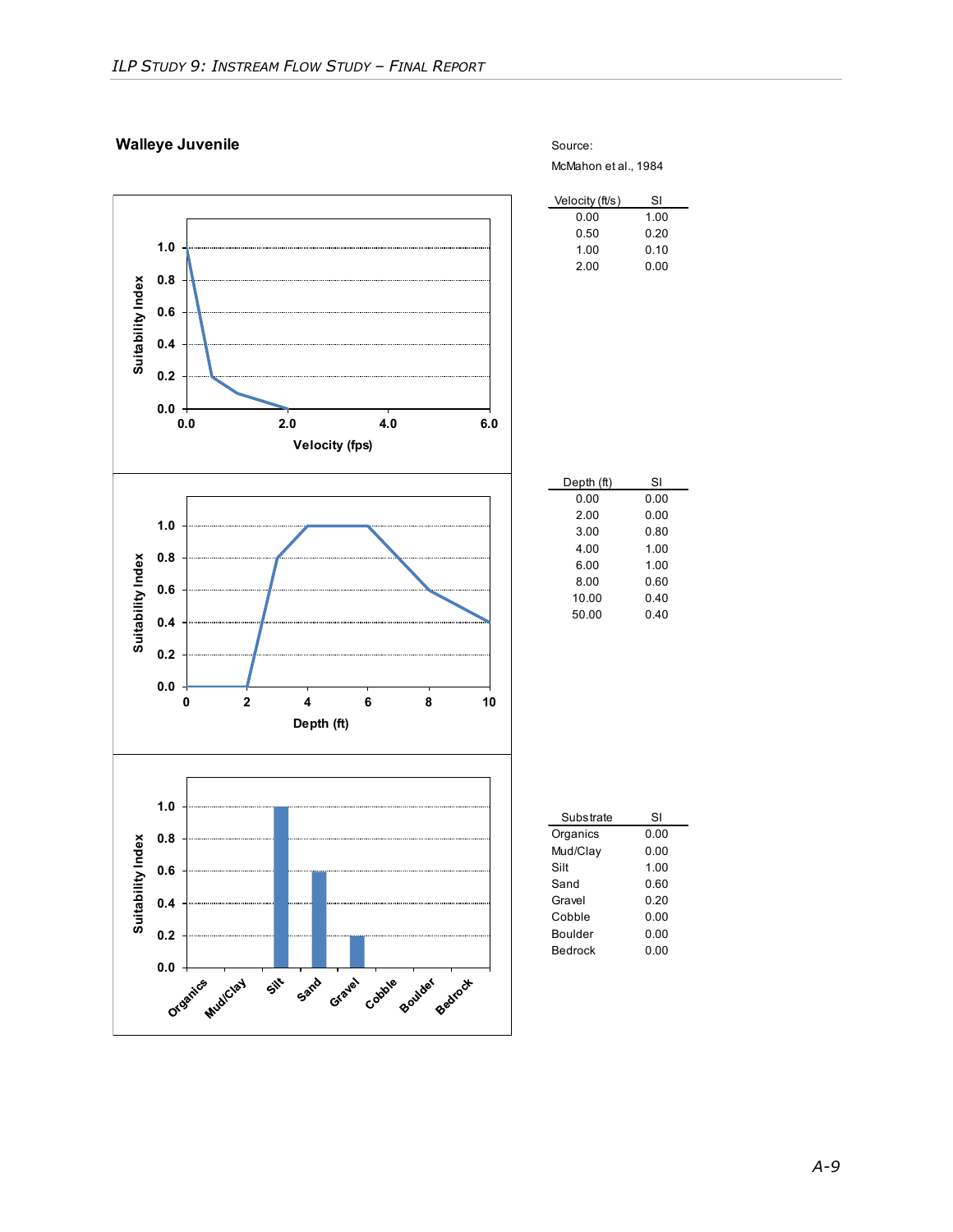#### Walleye Juvenile **Walleye Source:**

McMahon et al., 1984

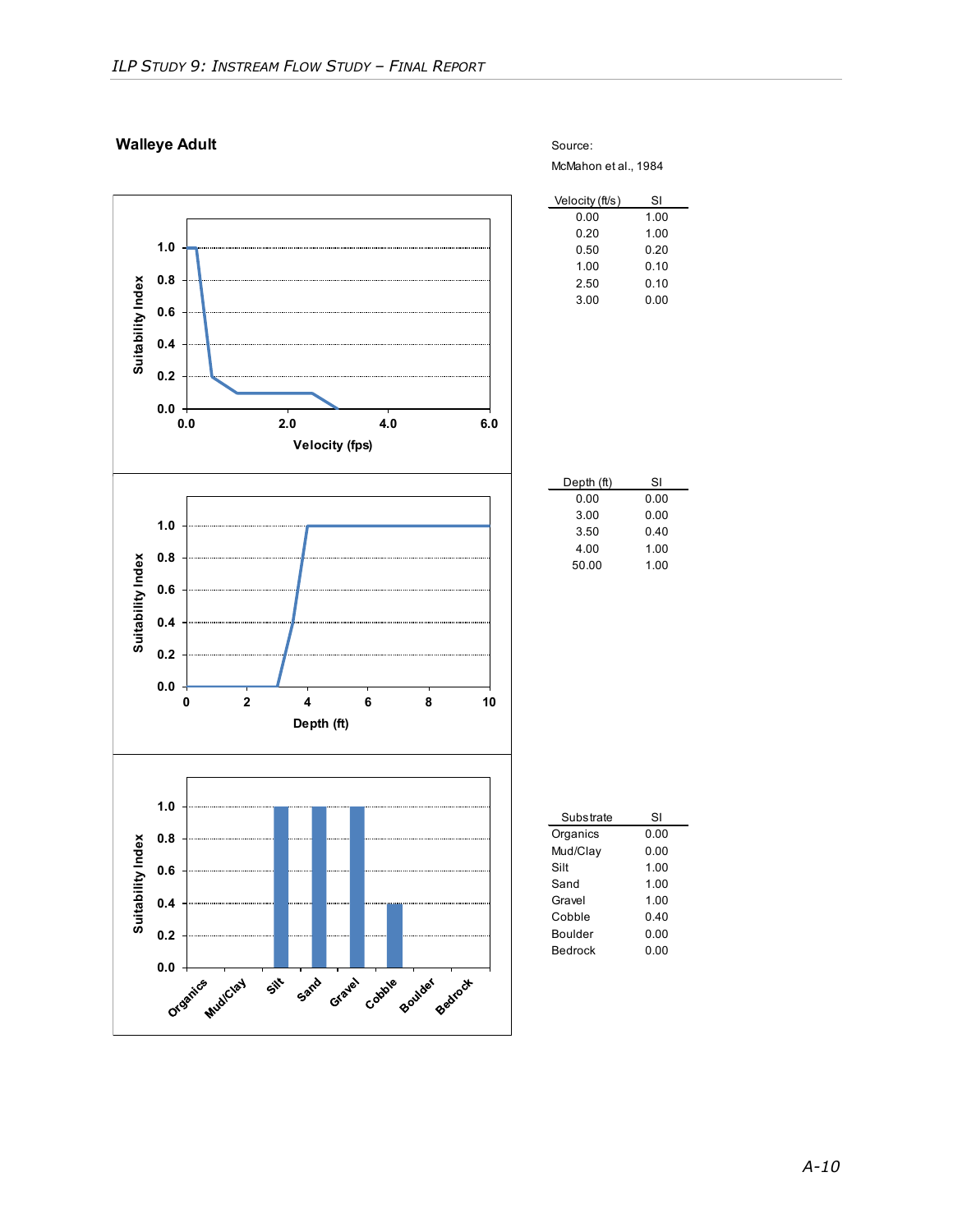#### McMahon et al., 1984 Velocity (ft/s) SI 0.00 1.00 0.20 1.00 **1.0** 0.50 0.20 1.00 0.10 Suitability Index **0.8** 2.50 0.10 **Suitability Index** 3.00 0.00 **0.6 0.4 0.2**  $0.0 + 0.0$ **0.0 2.0 4.0 6.0 Velocity (fps)** Depth (ft)  $\begin{array}{c} \text{S1} \\ \text{O.00} \end{array}$ 0.00 0.00<br>3.00 0.00 **1.0** 3.50 0.40 Suitability Index **0.8 Suitability Index**  $50.00$ **0.6 0.4 0.2 0.0 0 2 4 6 8 10 Depth (ft)1.0** Substrate SI Organics 0.00 Suitability Index **0.8 Suitability Index** Mud/Clay 0.00 Silt 1.00 **0.6** Sand 1.00 Gravel 1.00 **0.4** Cobble 0.40<br>Boulder 0.00 Boulder 0.00<br>Bedrock 0.00 **0.2** Bedrock 0.0 1 Mudician site sare drawn capple government

#### **Walleye Adult** Source:

 $0.00$ 

4.00 1.00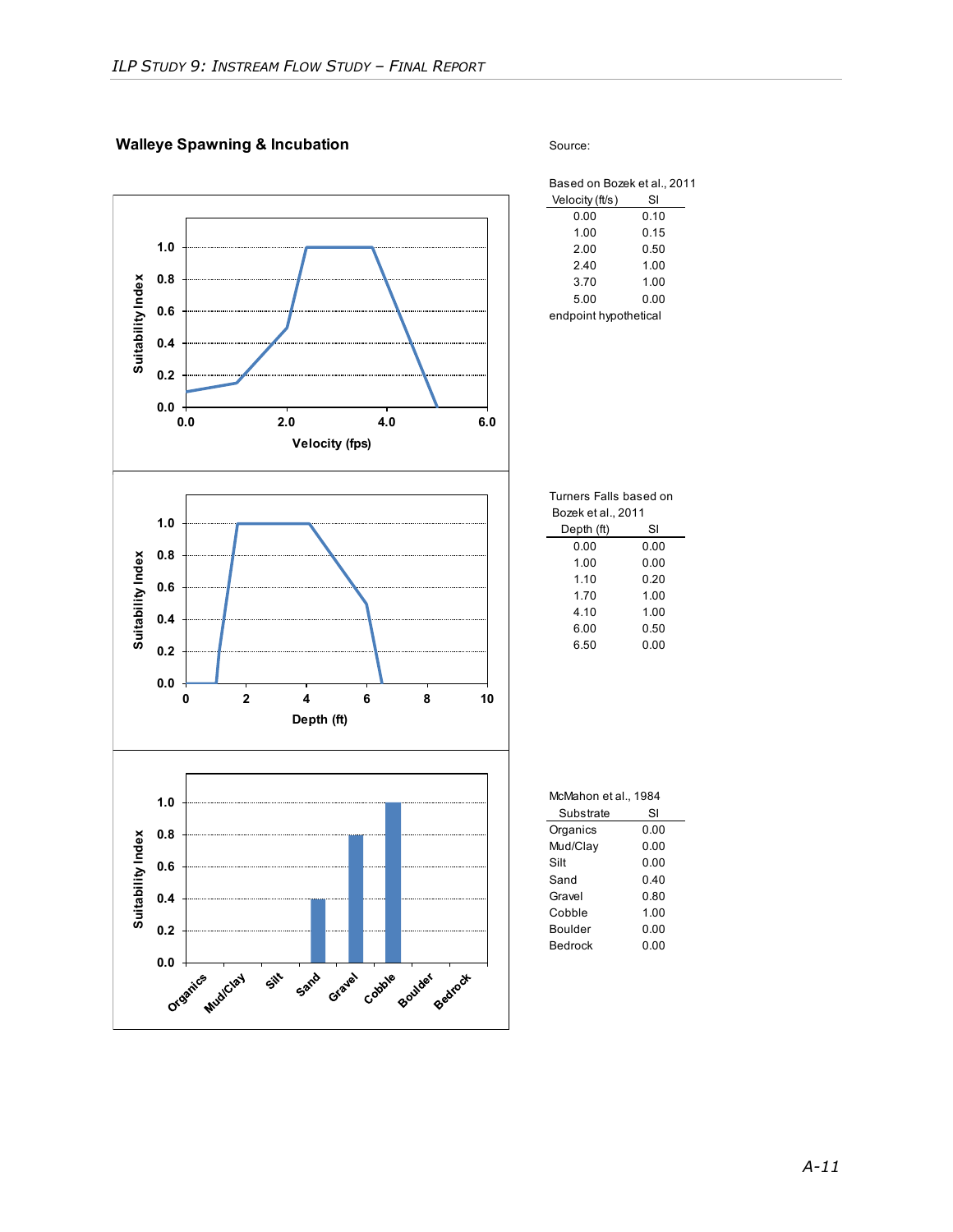## **Walleye Spawning & Incubation** Source:

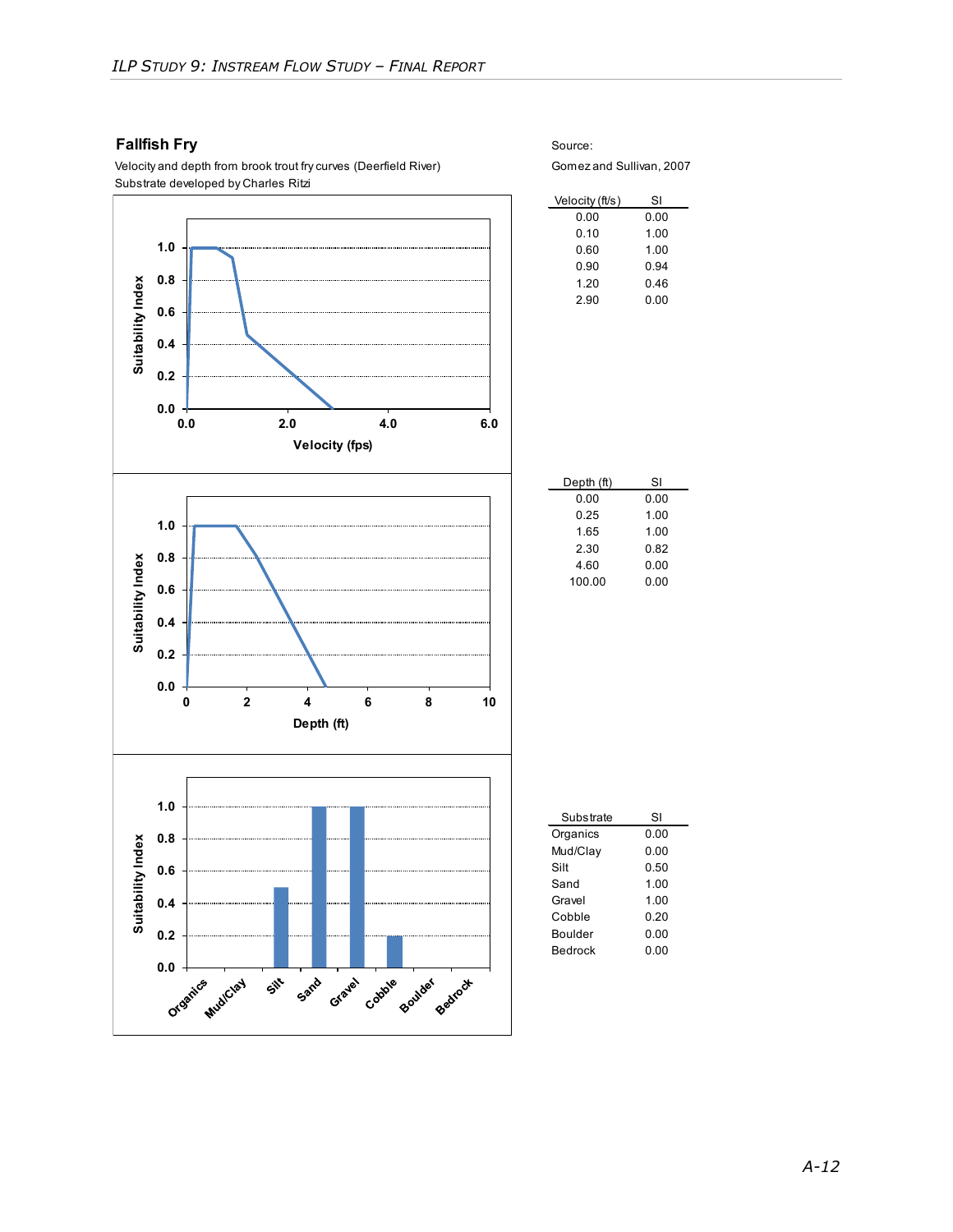## **Fallfish Fry** Source:

Velocity and depth from brook trout fry curves (Deerfield River) Gomez and Sullivan, 2007 Substrate developed by Charles Ritzi

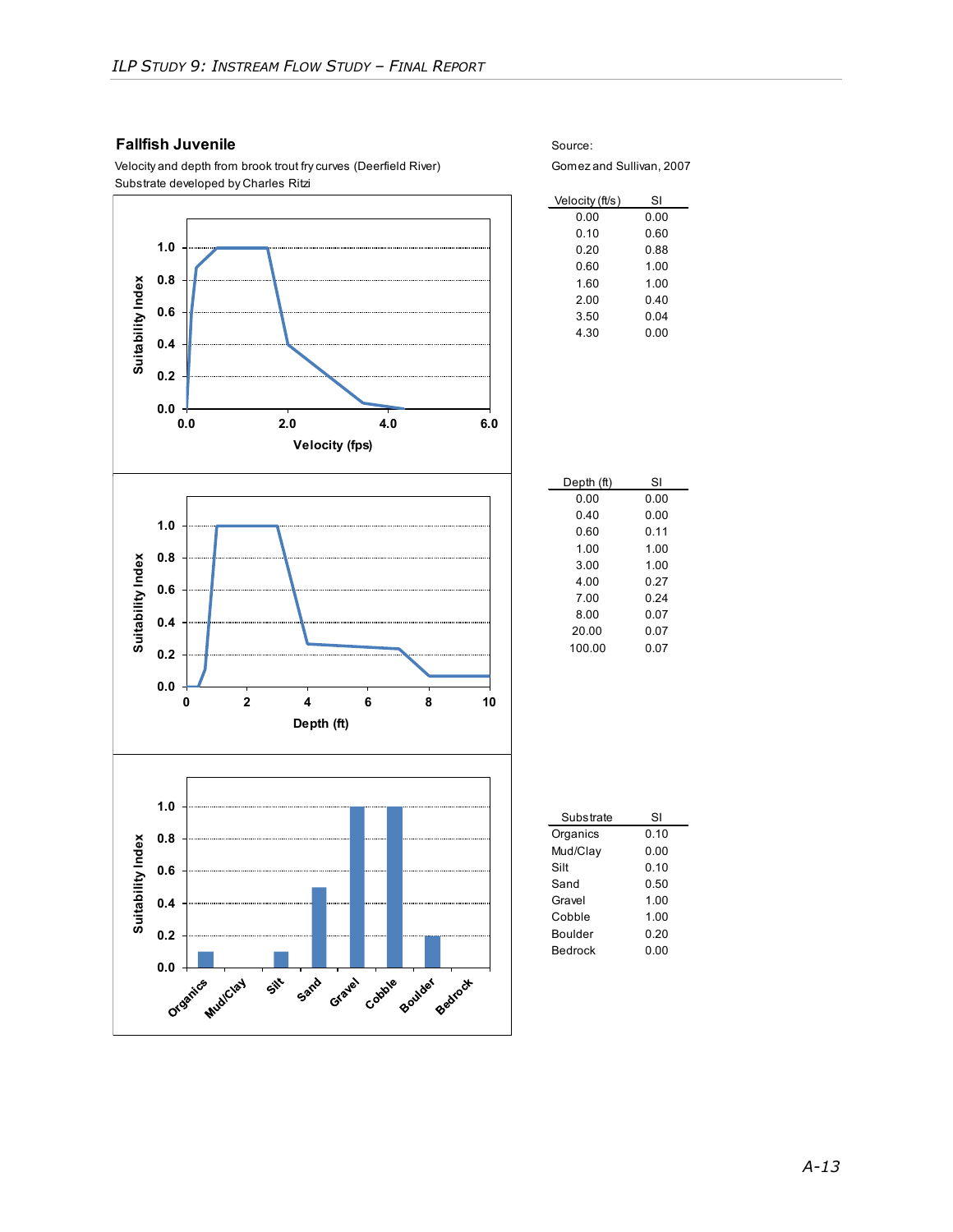#### **Fallfish Juvenile** Source:

Velocity and depth from brook trout fry curves (Deerfield River) Gomez and Sullivan, 2007 Substrate developed by Charles Ritzi

 $0.00$ 

 $0.27$ 

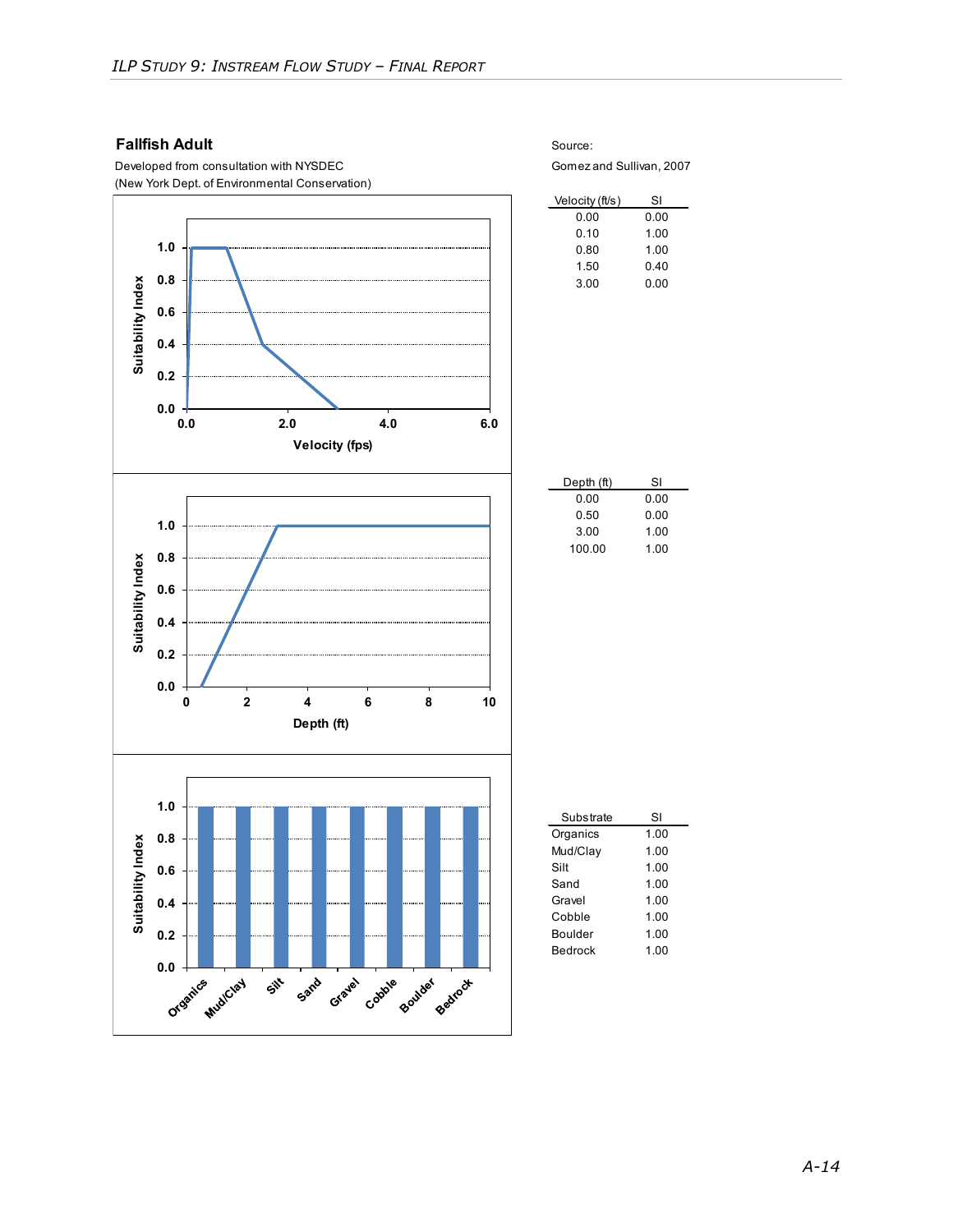#### **Fallfish Adult** Source:

Developed from consultation with NYSDEC Gomez and Sullivan, 2007 (New York Dept. of Environmental Conservation)

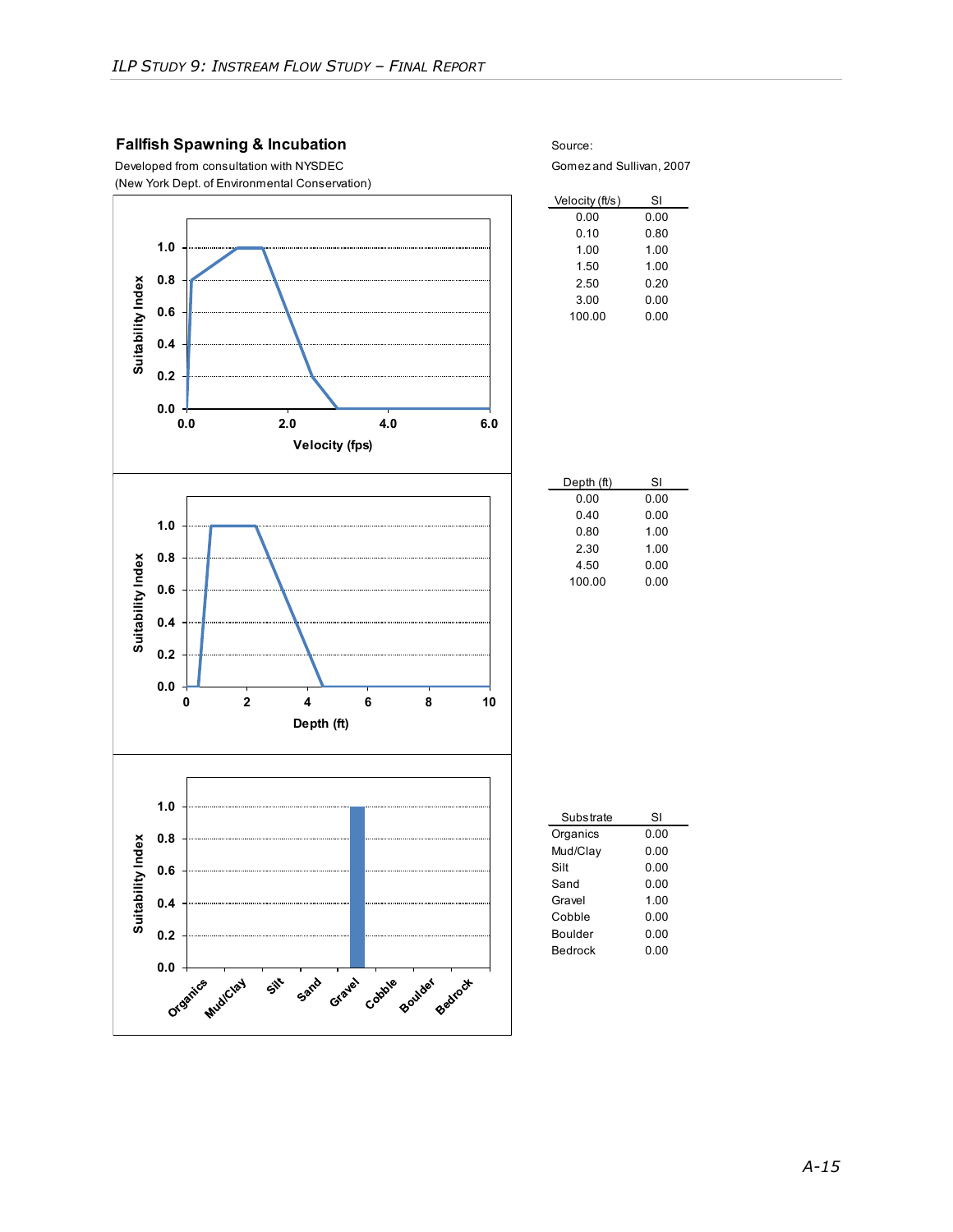## **Fallfish Spawning & Incubation** Source:

Developed from consultation with NYSDEC Gomez and Sullivan, 2007 (New York Dept. of Environmental Conservation)

|                          |                                                   | Velocity (ft/s)    | SI           |
|--------------------------|---------------------------------------------------|--------------------|--------------|
|                          |                                                   | 0.00               | 0.00         |
|                          |                                                   | 0.10               | 0.80         |
| 1.0                      |                                                   | 1.00               | 1.00         |
|                          |                                                   | 1.50               | 1.00         |
| $0.8\,$                  |                                                   | 2.50               | 0.20         |
|                          |                                                   | 3.00               | 0.00         |
| $0.6\,$                  |                                                   | 100.00             | 0.00         |
| Suitability Index<br>0.4 |                                                   |                    |              |
|                          |                                                   |                    |              |
| 0.2                      |                                                   |                    |              |
|                          |                                                   |                    |              |
| $0.0\,$                  |                                                   |                    |              |
| 0.0                      | 2.0<br>4.0<br>6.0                                 |                    |              |
|                          | <b>Velocity (fps)</b>                             |                    |              |
|                          |                                                   |                    |              |
|                          |                                                   | Depth (ft)<br>0.00 | SI<br>0.00   |
|                          |                                                   | 0.40               | 0.00         |
| 1.0                      |                                                   | 0.80               | 1.00         |
|                          |                                                   | 2.30               | 1.00         |
| 0.8                      |                                                   | 4.50               | 0.00         |
|                          |                                                   | 100.00             | 0.00         |
| 0.6                      |                                                   |                    |              |
| Suitability Index        |                                                   |                    |              |
| 0.4                      |                                                   |                    |              |
| 0.2                      |                                                   |                    |              |
|                          |                                                   |                    |              |
| $0.0\,$                  |                                                   |                    |              |
| 0                        | 4<br>$\overline{\mathbf{c}}$<br>8<br>6<br>10      |                    |              |
|                          | Depth (ft)                                        |                    |              |
|                          |                                                   |                    |              |
|                          |                                                   |                    |              |
|                          |                                                   |                    |              |
| 1.0                      |                                                   |                    |              |
|                          |                                                   | Substrate          | SI           |
| 0.8                      |                                                   | Organics           | 0.00         |
|                          |                                                   | Mud/Clay           | 0.00         |
| 0.6                      |                                                   | Silt               | 0.00         |
|                          |                                                   | Sand               | 0.00         |
| 0.4                      |                                                   | Gravel             | 1.00         |
| Suitability Index        |                                                   | Cobble<br>Boulder  | 0.00         |
| 0.2                      |                                                   | Bedrock            | 0.00<br>0.00 |
| $\mathbf{0.0}$           |                                                   |                    |              |
|                          |                                                   |                    |              |
|                          | $s_{jk}$<br>Sand<br>Graves Cobble govider gedrock |                    |              |
|                          | Organics Mudicial                                 |                    |              |

 $\overline{\phantom{a}}$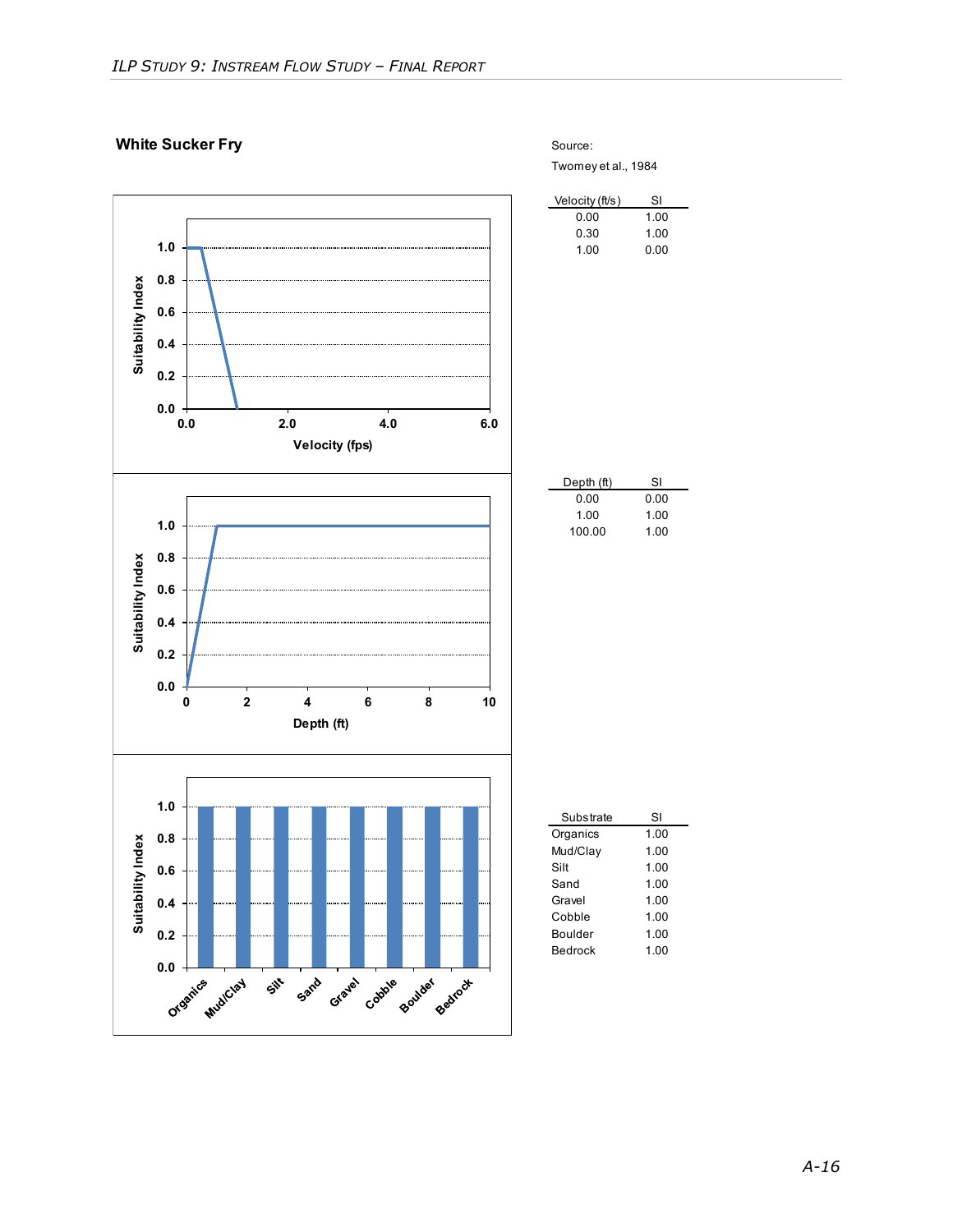#### **White Sucker Fry** Source:

Twomey et al., 1984

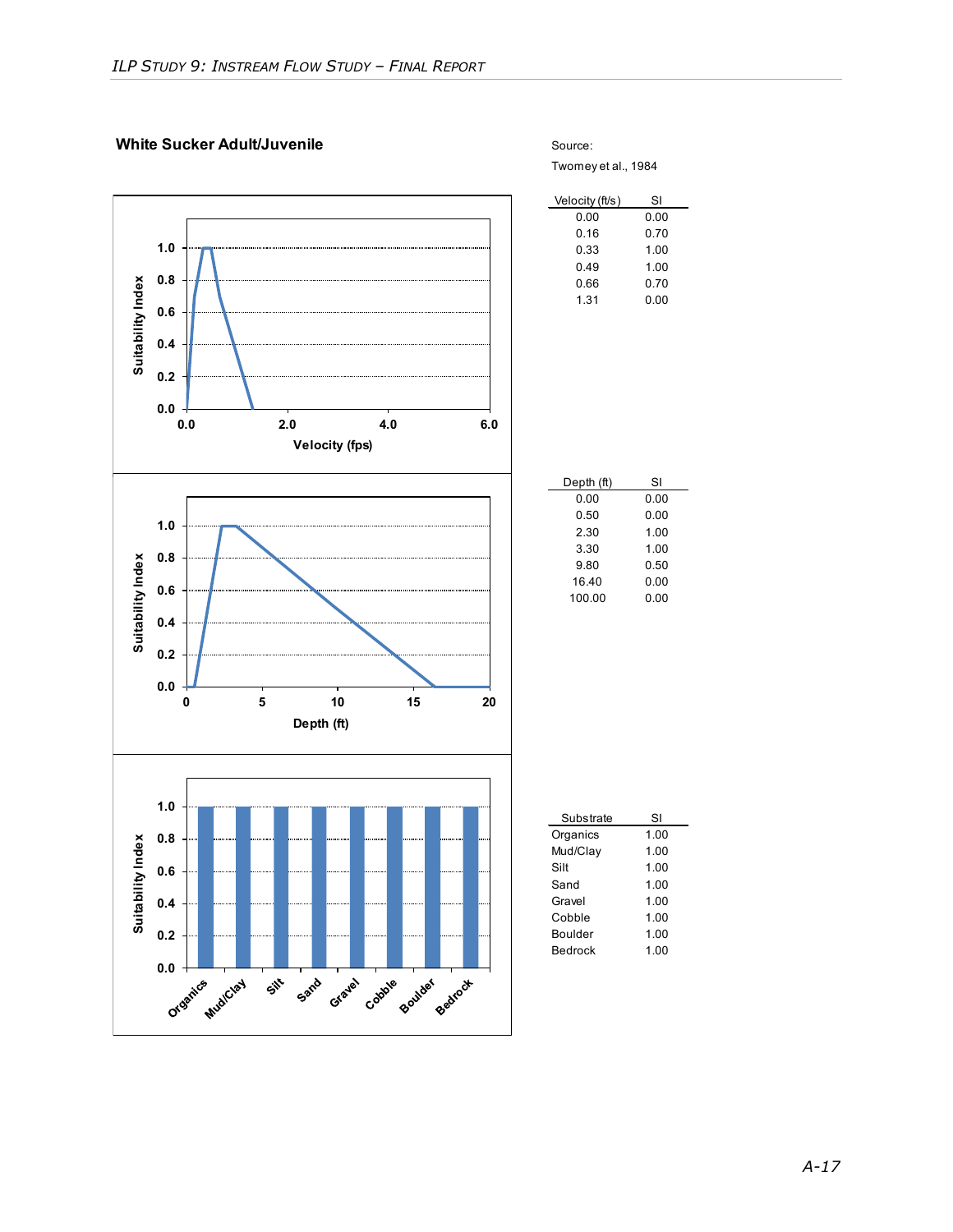### **White Sucker Adult/Juvenile** Source: Source:

Twomey et al., 1984

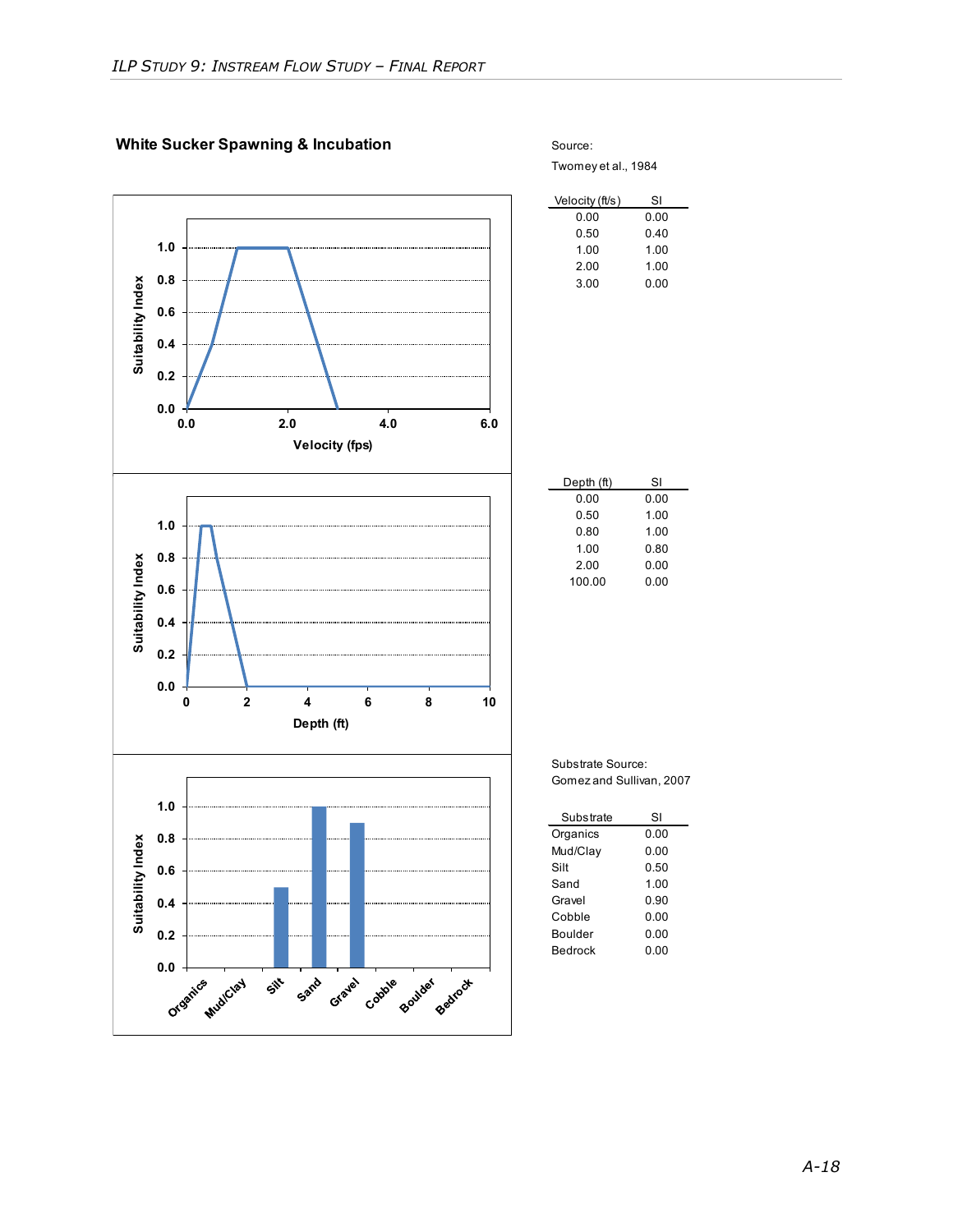

#### **White Sucker Spawning & Incubation** Source:

Twomey et al., 1984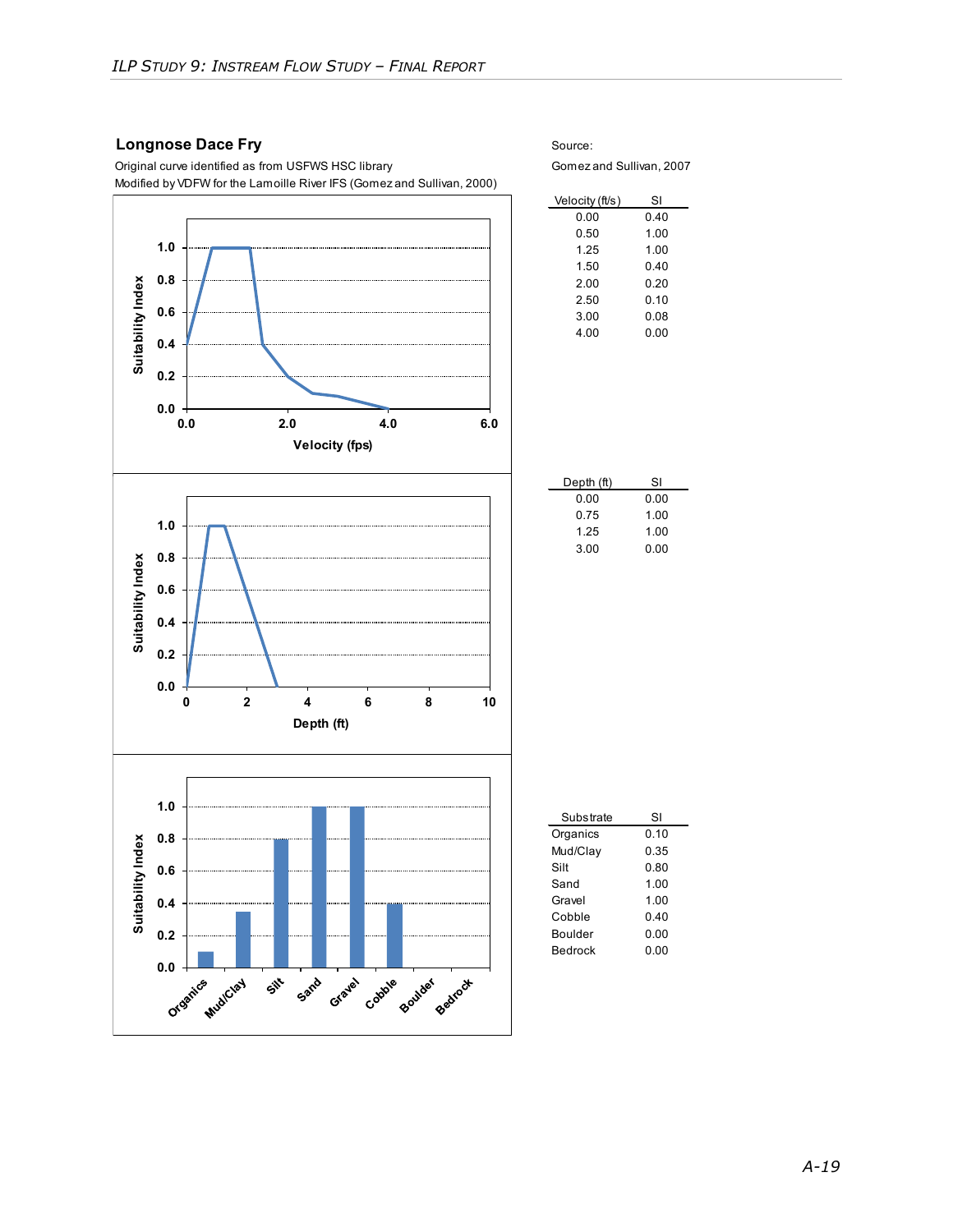#### **Longnose Dace Fry** Source:

Original curve identified as from USFWS HSC library Gomez and Sullivan, 2007 Modified by VDFW for the Lamoille River IFS (Gomez and Sullivan, 2000)

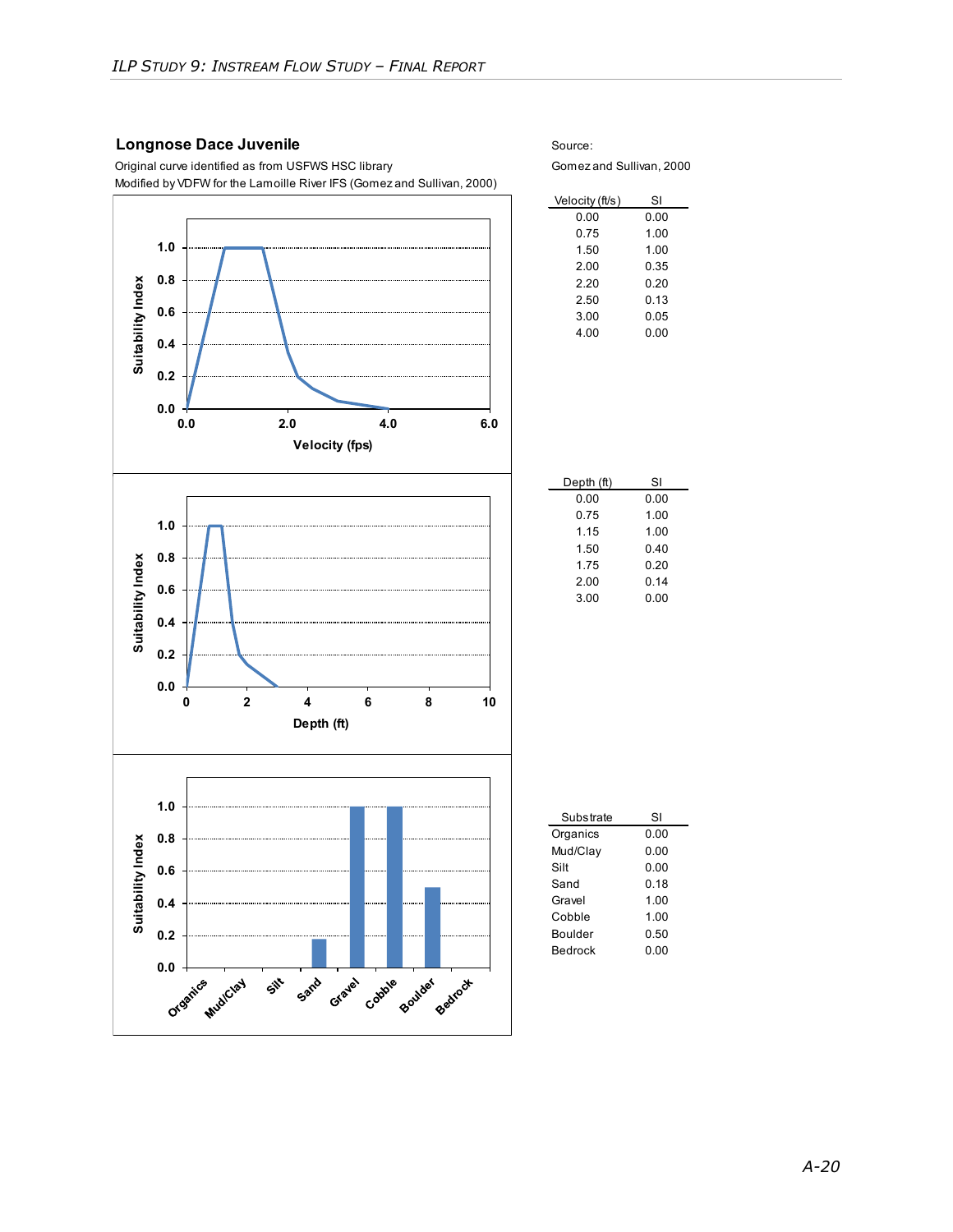#### Longnose Dace Juvenile **Source:** Source:

Original curve identified as from USFWS HSC library Gomez and Sullivan, 2000 Modified by VDFW for the Lamoille River IFS (Gomez and Sullivan, 2000)

1.00

 $0.14$ 

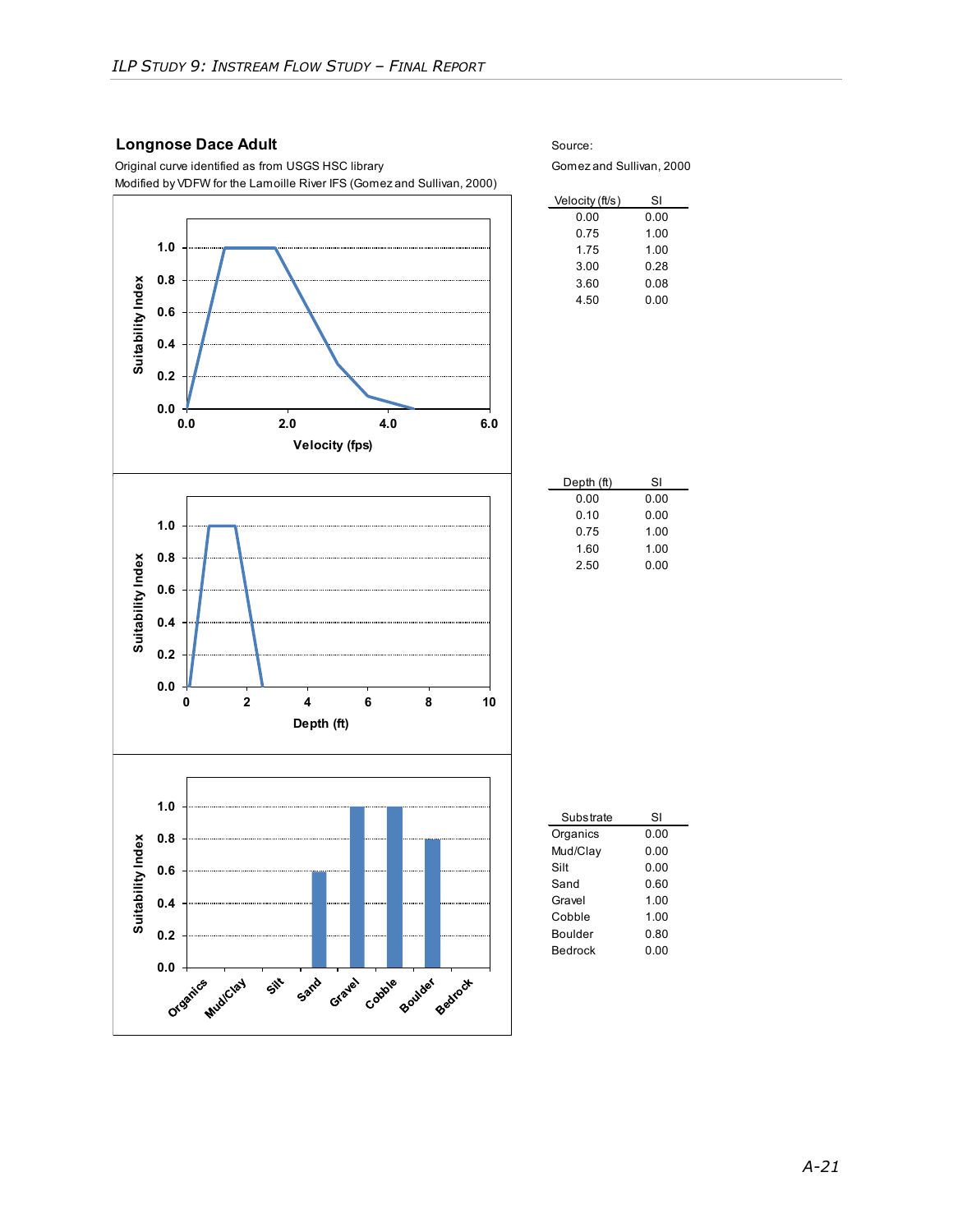#### Longnose Dace Adult **Source:** Source:

Original curve identified as from USGS HSC library Gomez and Sullivan, 2000 Modified by VDFW for the Lamoille River IFS (Gomez and Sullivan, 2000)

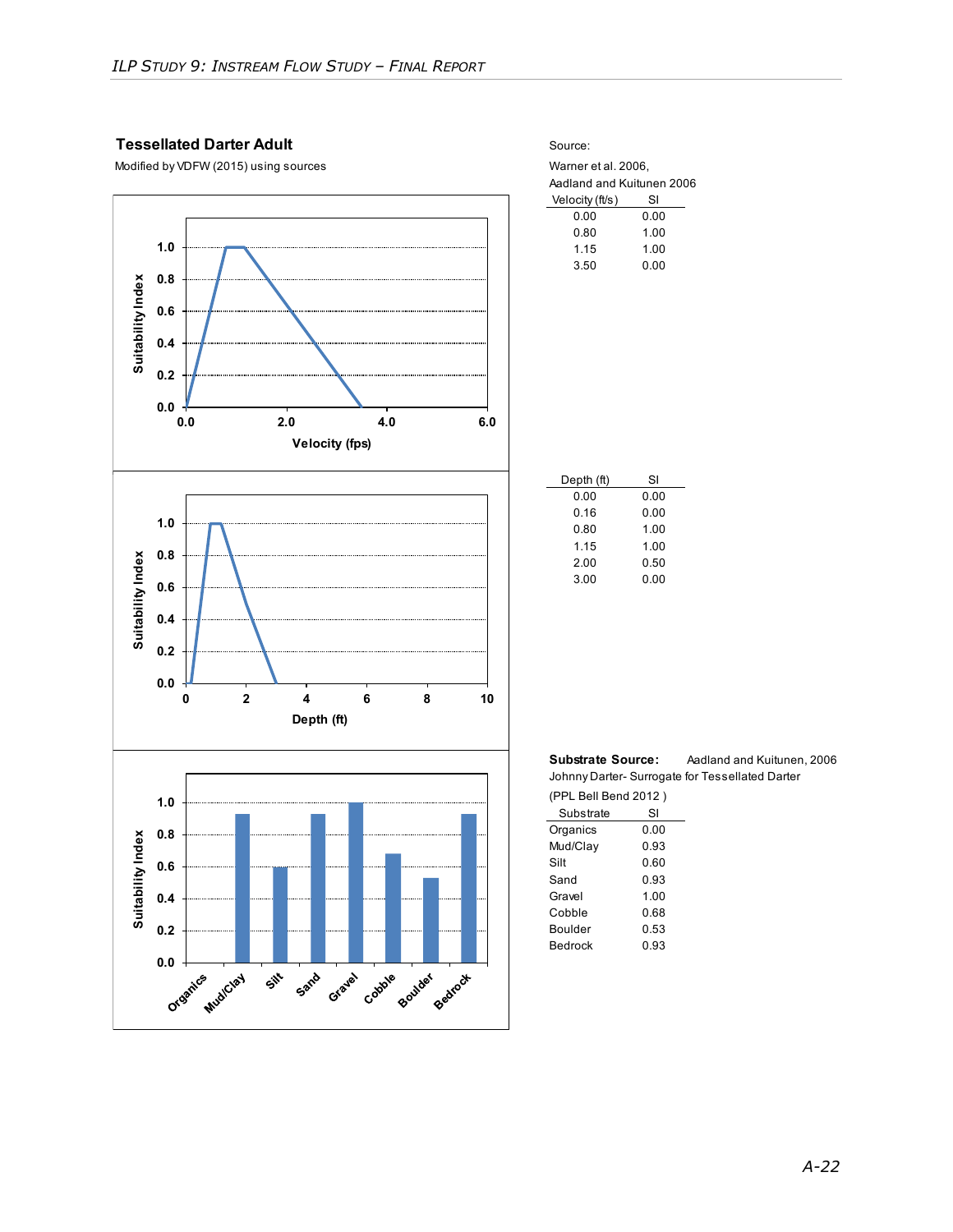#### **Tessellated Darter Adult**

Modified by VDFW (2015) using sources



| 11 I |
|------|
|------|

| Warner et al. 2006,       |      |
|---------------------------|------|
| Aadland and Kuitunen 2006 |      |
| Velocity (ft/s )          | SI   |
| 0.00                      | 0.00 |
| 0.80                      | 1.00 |
| 1.15                      | 1.00 |
| 3.50                      | 0.00 |

| SI   |
|------|
| 0.00 |
| 0.00 |
| 1.00 |
| 1.00 |
| 0.50 |
| 0.00 |
|      |

**Substrate Source:** Aadland and Kuitunen, 2006 Johnny Darter- Surrogate for Tessellated Darter (PPL Bell Bend 2012 )

| Substrate | SI   |
|-----------|------|
| Organics  | 0.00 |
| Mud/Clay  | 0.93 |
| Silt      | 0.60 |
| Sand      | 0.93 |
| Gravel    | 1.00 |
| Cobble    | 0.68 |
| Boulder   | 0.53 |
| Bedrock   | 0.93 |
|           |      |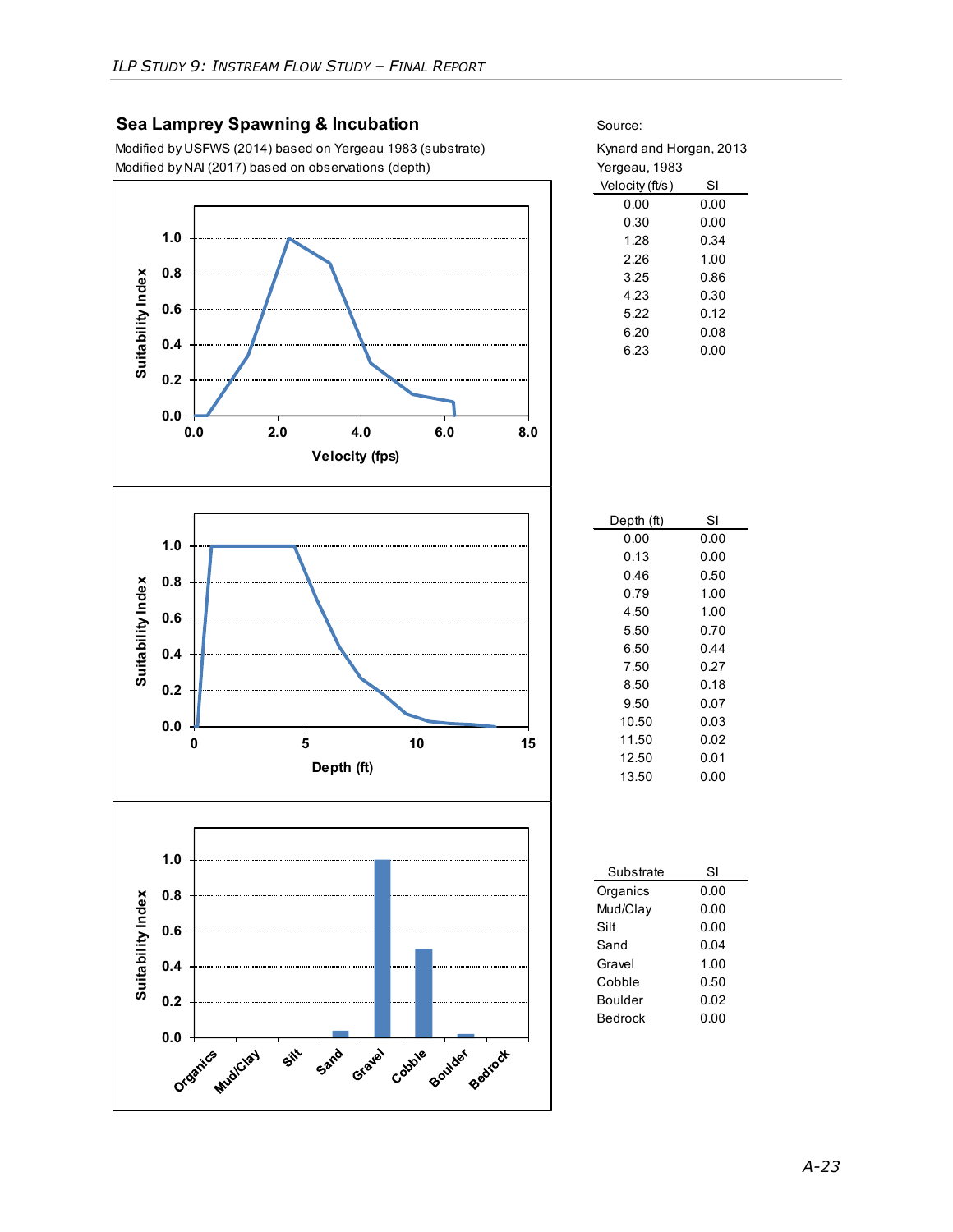

**Sea Lamprey Spawning & Incubation** Source:

Modified by USFWS (2014) based on Yergeau 1983 (substrate)

| Kynard and Horgan, 2013 |      |
|-------------------------|------|
| Yergeau, 1983           |      |
| Velocity (ft/s)         | SI   |
| 0.00                    | 0.00 |
| 0.30                    | 0.00 |
| 1.28                    | 0.34 |
| 2.26                    | 1.00 |
| 3.25                    | 0.86 |
| 4.23                    | 0.30 |
| 5.22                    | 0.12 |
| 6.20                    | 0.08 |
| 6.23                    | 0.OO |
|                         |      |





| Depth (ft) | SI   |
|------------|------|
| 0.00       | 0.00 |
| 0.13       | 0.00 |
| 0.46       | 0.50 |
| በ 79       | 1.00 |
| 4.50       | 1.00 |
| 5.50       | 0.70 |
| 6.50       | በ 44 |
| 7.50       | 0.27 |
| 8.50       | 0.18 |
| 9.50       | 0.07 |
| 10.50      | 0.03 |
| 11.50      | 0.02 |
| 12.50      | 0.01 |
| 13.50      | 0.00 |

| Substrate      | SI   |
|----------------|------|
| Organics       | 0.OO |
| Mud/Clay       | 0.00 |
| Silt           | 0.00 |
| Sand           | 0.04 |
| Gravel         | 1.00 |
| Cobble         | 0.50 |
| <b>Boulder</b> | 0.02 |
| <b>Bedrock</b> | 0.OO |
|                |      |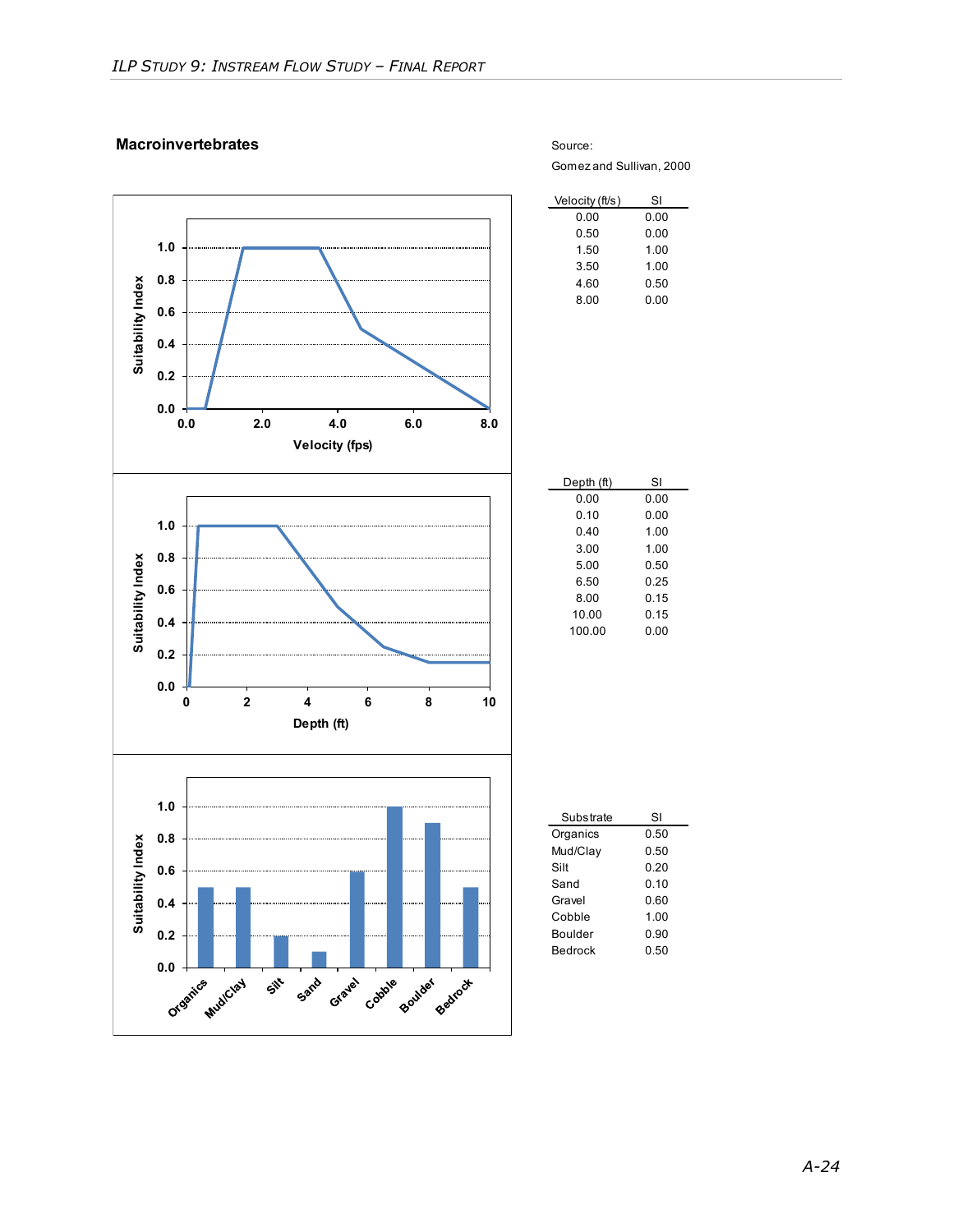#### **Macroinvertebrates** Source:

Gomez and Sullivan, 2000

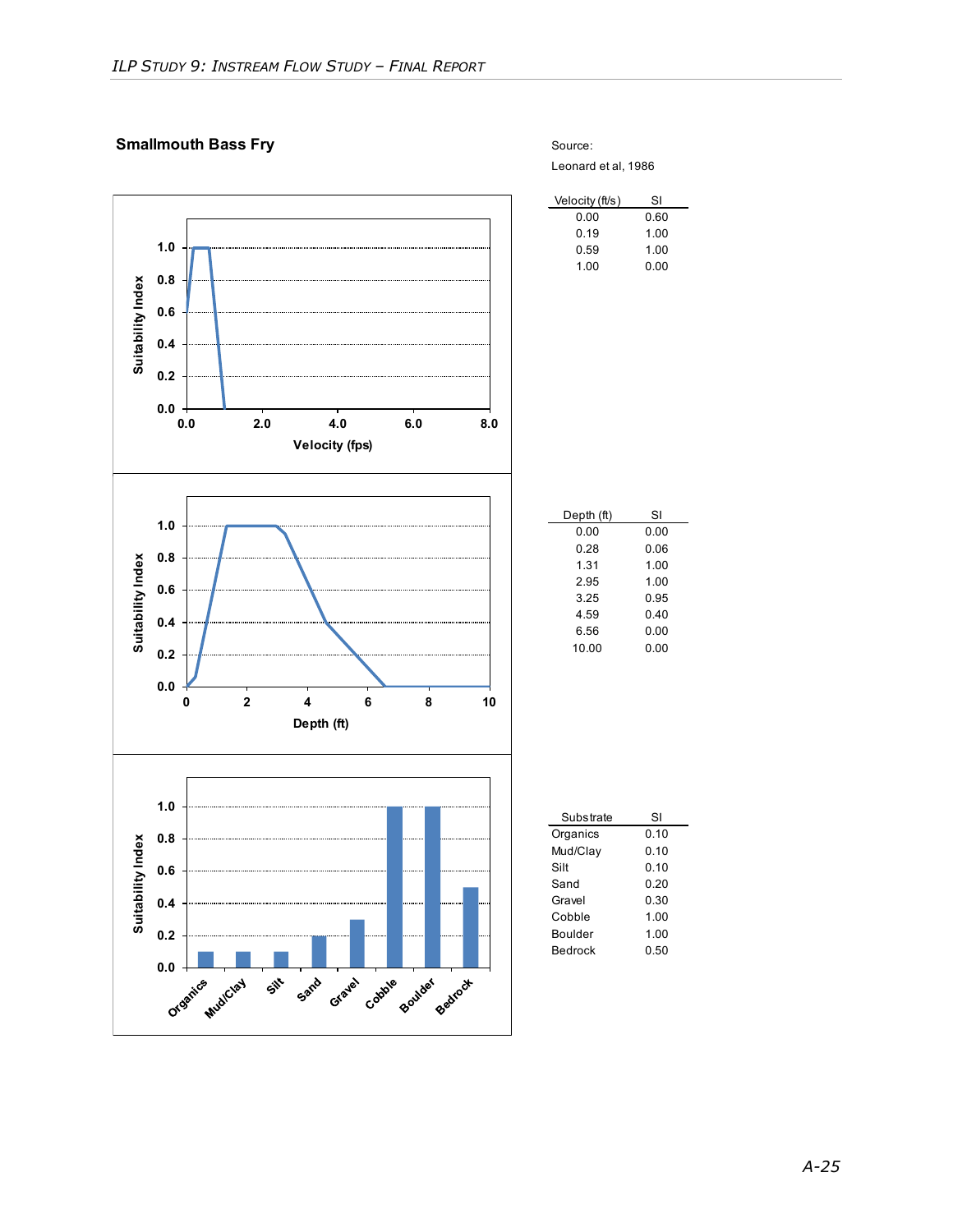## **Smallmouth Bass Fry Source:** Source:

Leonard et al, 1986

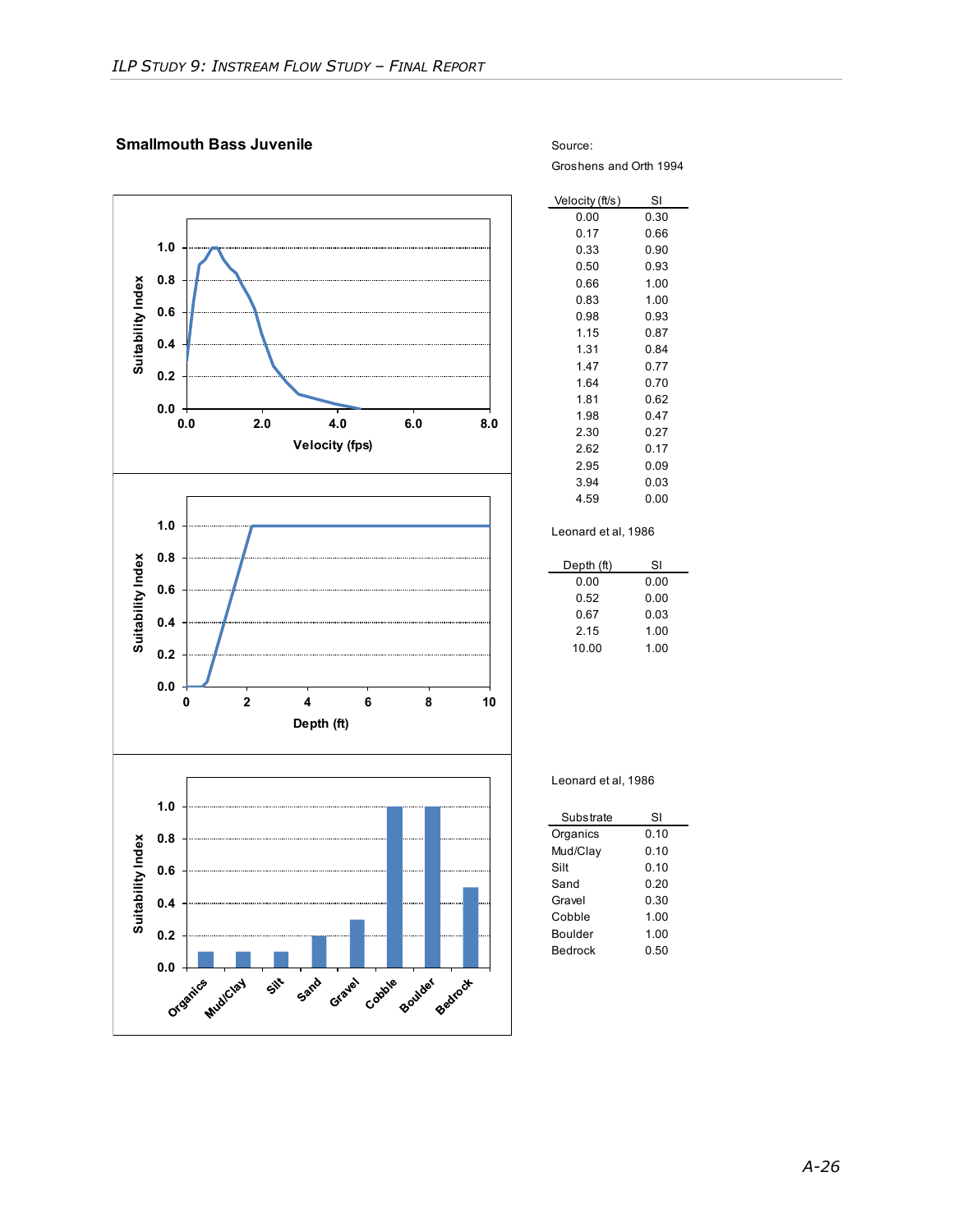#### **Smallmouth Bass Juvenile** Source: Source: Source:

Groshens and Orth 1994



| Velocity (ft/s) | SI   |
|-----------------|------|
| 0.00            | 0.30 |
| 0.17            | 0.66 |
| 0.33            | 0.90 |
| 0.50            | 0.93 |
| 0.66            | 1.00 |
| 0.83            | 1.00 |
| 0.98            | 0.93 |
| 1.15            | 0.87 |
| 1.31            | 0.84 |
| 1.47            | 0.77 |
| 1.64            | 0.70 |
| 1.81            | 0.62 |
| 1.98            | 0.47 |
| 2.30            | 0.27 |
| 2.62            | 0.17 |
| 2.95            | 0.09 |
| 3.94            | 0.03 |
| 4.59            | 0.00 |
|                 |      |
|                 |      |

#### Leonard et al, 1986

| SI   |
|------|
| 0.00 |
| 0.00 |
| 0.03 |
| 1.00 |
| 1.00 |
|      |

#### Leonard et al, 1986

| Substrate      | SI   |
|----------------|------|
| Organics       | 0.10 |
| Mud/Clay       | 0.10 |
| Silt           | 0.10 |
| Sand           | 0.20 |
| Gravel         | 0.30 |
| Cobble         | 1.00 |
| Boulder        | 1.00 |
| <b>Bedrock</b> | 0.50 |
|                |      |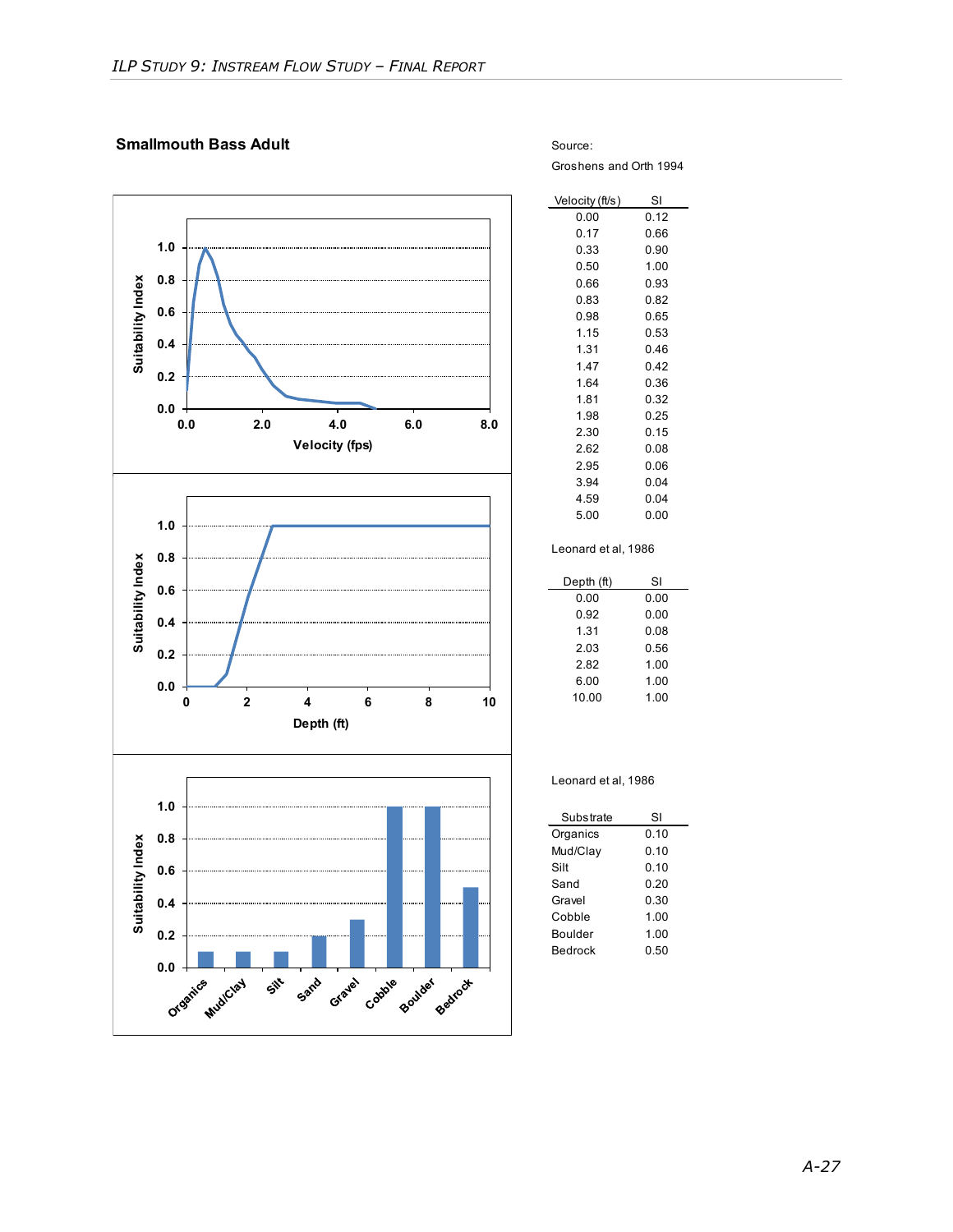## **Smallmouth Bass Adult** Source:

Groshens and Orth 1994



| Velocity (ft/s )    | SI   |
|---------------------|------|
| 0.00                | 0.12 |
| 0.17                | 0.66 |
| 0.33                | 0.90 |
| 0.50                | 1.00 |
| 0.66                | 0.93 |
| 0.83                | 0.82 |
| 0.98                | 0.65 |
| 1.15                | 0.53 |
| 1.31                | 0.46 |
| 1.47                | 0.42 |
| 1.64                | 0.36 |
| 181                 | 0.32 |
| 1.98                | 0.25 |
| 2.30                | 0.15 |
| 2.62                | 0.08 |
| 2.95                | 0.06 |
| 3.94                | 0.04 |
| 4.59                | 0.04 |
| 5.00                | 0.00 |
| Leonard et al, 1986 |      |

| Depth (ft) | SI   |
|------------|------|
| 0.00       | 0.00 |
| 0.92       | 0.00 |
| 1.31       | 0.08 |
| 2.03       | 0.56 |
| 2.82       | 1.00 |
| 6.00       | 1.00 |
| 10.00      | 1.00 |
|            |      |

 $\overline{a}$ 

#### Leonard et al, 1986

| Substrate      | SI   |
|----------------|------|
| Organics       | 0.10 |
| Mud/Clay       | 0.10 |
| Silt           | 0.10 |
| Sand           | 0 20 |
| Gravel         | ი ვი |
| Cobble         | 1.00 |
| Boulder        | 1.00 |
| <b>Bedrock</b> | 0.50 |
|                |      |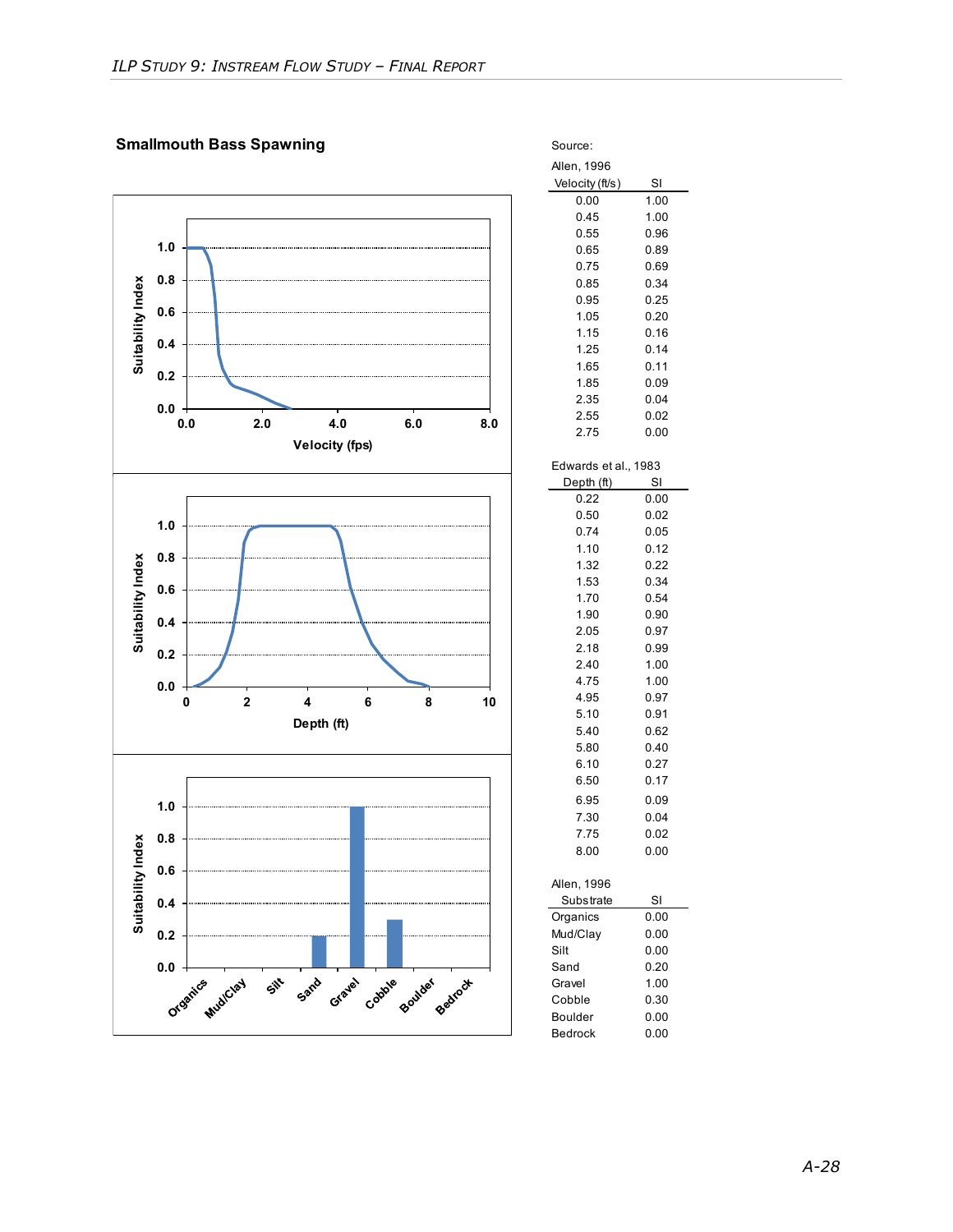## **Smallmouth Bass Spawning**



| Source:              |      |  |  |
|----------------------|------|--|--|
| Allen, 1996          |      |  |  |
| Velocity (ft/s)      | SI   |  |  |
| 0.00                 | 1.00 |  |  |
| 0.45                 | 1.00 |  |  |
| 0.55                 | 0.96 |  |  |
| 0.65                 | 0.89 |  |  |
| 0.75                 | 0.69 |  |  |
| 0.85                 | 0.34 |  |  |
| 0.95                 | 0.25 |  |  |
| 1.05                 | 0.20 |  |  |
| 1.15                 | 0.16 |  |  |
| 1.25                 | 0.14 |  |  |
| 1.65                 | 0.11 |  |  |
| 1.85                 | 0.09 |  |  |
|                      |      |  |  |
| 2.35                 | 0.04 |  |  |
| 2.55                 | 0.02 |  |  |
| 2.75                 | 0.00 |  |  |
| Edwards et al., 1983 |      |  |  |
| Depth (ft)           | SI   |  |  |
| 0.22                 | 0.00 |  |  |
| 0.50                 | 0.02 |  |  |
| 0.74                 | 0.05 |  |  |
| 1.10                 | 0.12 |  |  |
| 1.32                 | 0.22 |  |  |
| 1.53                 | 0.34 |  |  |
| 1.70                 | 0.54 |  |  |
| 1.90                 | 0.90 |  |  |
|                      |      |  |  |
| 2.05                 | 0.97 |  |  |
| 2.18                 | 0.99 |  |  |
| 2.40                 | 1.00 |  |  |
| 4.75                 | 1.00 |  |  |
| 4.95                 | 0.97 |  |  |
| 5.10                 | 0.91 |  |  |
| 5.40                 | 0.62 |  |  |
| 5.80                 | 0.40 |  |  |
| 6.10                 | 0.27 |  |  |
| 6.50                 | 0.17 |  |  |
| 6.95                 | 0.09 |  |  |
| 7.30                 | 0.04 |  |  |
| 7.75                 | 0.02 |  |  |
| 8.00                 | 0.00 |  |  |
| Allen, 1996          |      |  |  |
| Substrate            | SI   |  |  |
| Organics             | 0.00 |  |  |
| Mud/Clay             | 0.00 |  |  |
| Silt                 | 0.00 |  |  |
| Sand                 | 0.20 |  |  |
| Gravel               | 1.00 |  |  |
| Cobble               | 0.30 |  |  |
| Boulder              | 0.00 |  |  |
|                      |      |  |  |

Bedrock 0.00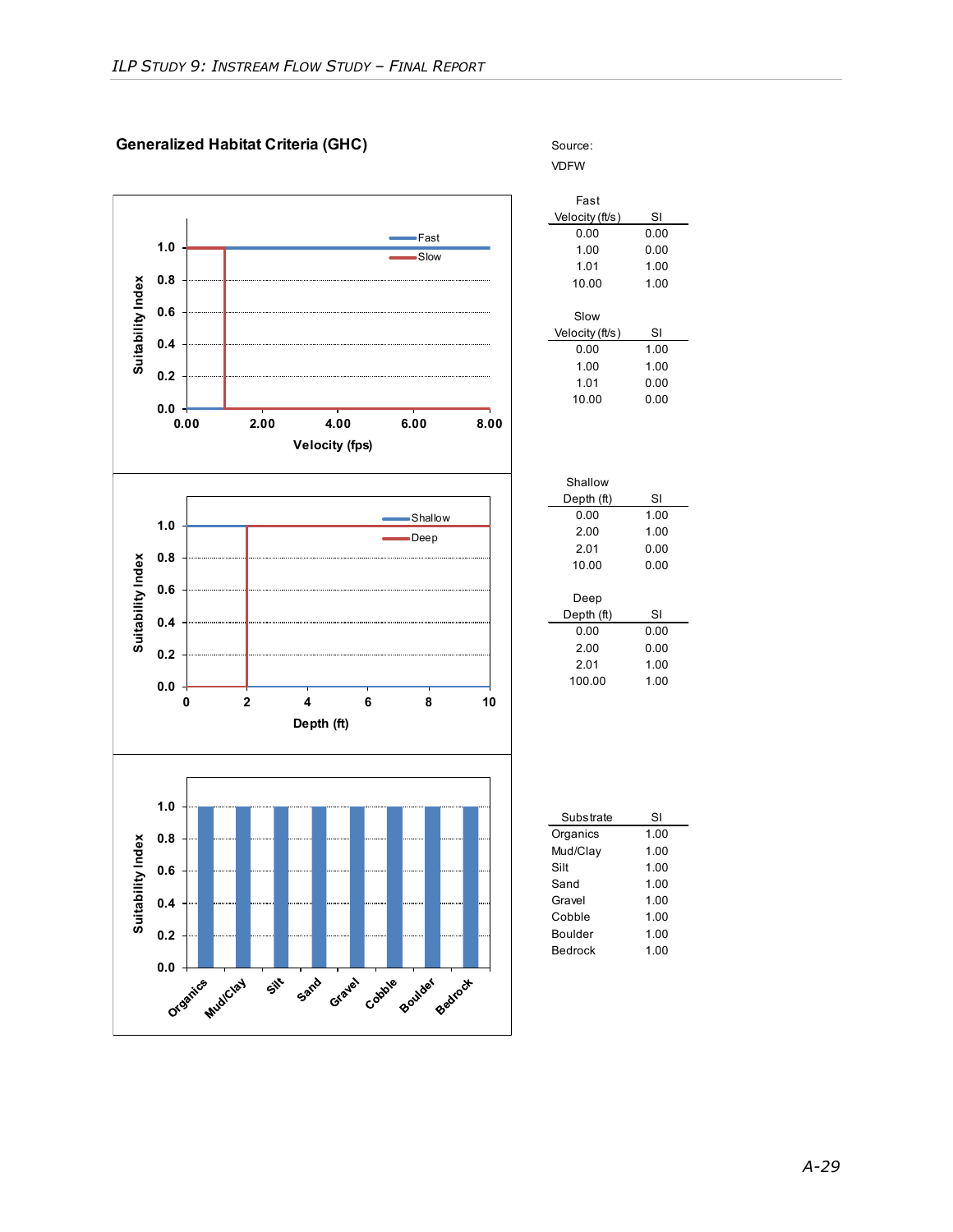Generalized Habitat Criteria (GHC) Source:

Fast **1.0** Slow Suitability Index **0.8 Suitability Index 0.6 0.4 0.2 0.0 0.00 2.00 4.00 6.00 8.00 Velocity (fps)** Shallow **1.0** Deep**0.8** Suitability Index **Suitability Index 0.6 0.4 0.2 0.0 0 2 4 6 8 10 Depth (ft) 1.0** Suitability Index **0.8 Suitability Index 0.6 0.4 0.2** 0.0 Levelas Mudicial Sit Sand Grave Cooper Boulder parties

| VDFW            |      |
|-----------------|------|
| Fast            |      |
| Velocity (ft/s) | SI   |
| 0.00            | 0.00 |
| 1.00            | 0.00 |
| 1.01            | 1.00 |
| 10.00           | 1.00 |
| Slow            |      |
| Velocity (ft/s) | SI   |
| 0.00            | 1.00 |
| 1.00            | 1.00 |
| 1.01            | 0.00 |
| 10.00           | 0.00 |
|                 |      |
|                 |      |
|                 |      |
|                 |      |
| Shallow         |      |
| Depth (ft)      | SI   |
| 0.00            | 1.00 |
| 2.00            | 1.00 |
| 2.01            | 0.00 |
| 10.00           | 0.00 |
| Deep            |      |
| Depth (ft)      | SI   |
| 0.00            | 0.00 |
| 2.00            | 0.00 |
| 2.01            | 1.00 |
| 100.00          | 1.00 |
|                 |      |
|                 |      |
|                 |      |
|                 |      |
|                 |      |
|                 |      |
| Substrate       | SI   |
| Organics        | 1.00 |
| Mud/Clay        | 1.00 |
| Silt            | 1.00 |
| Sand            | 1.00 |
| Gravel          | 1.00 |
| Cobble          | 1.00 |
| Boulder         | 1.00 |
| <b>Bedrock</b>  | 1.00 |
|                 |      |

*A-29*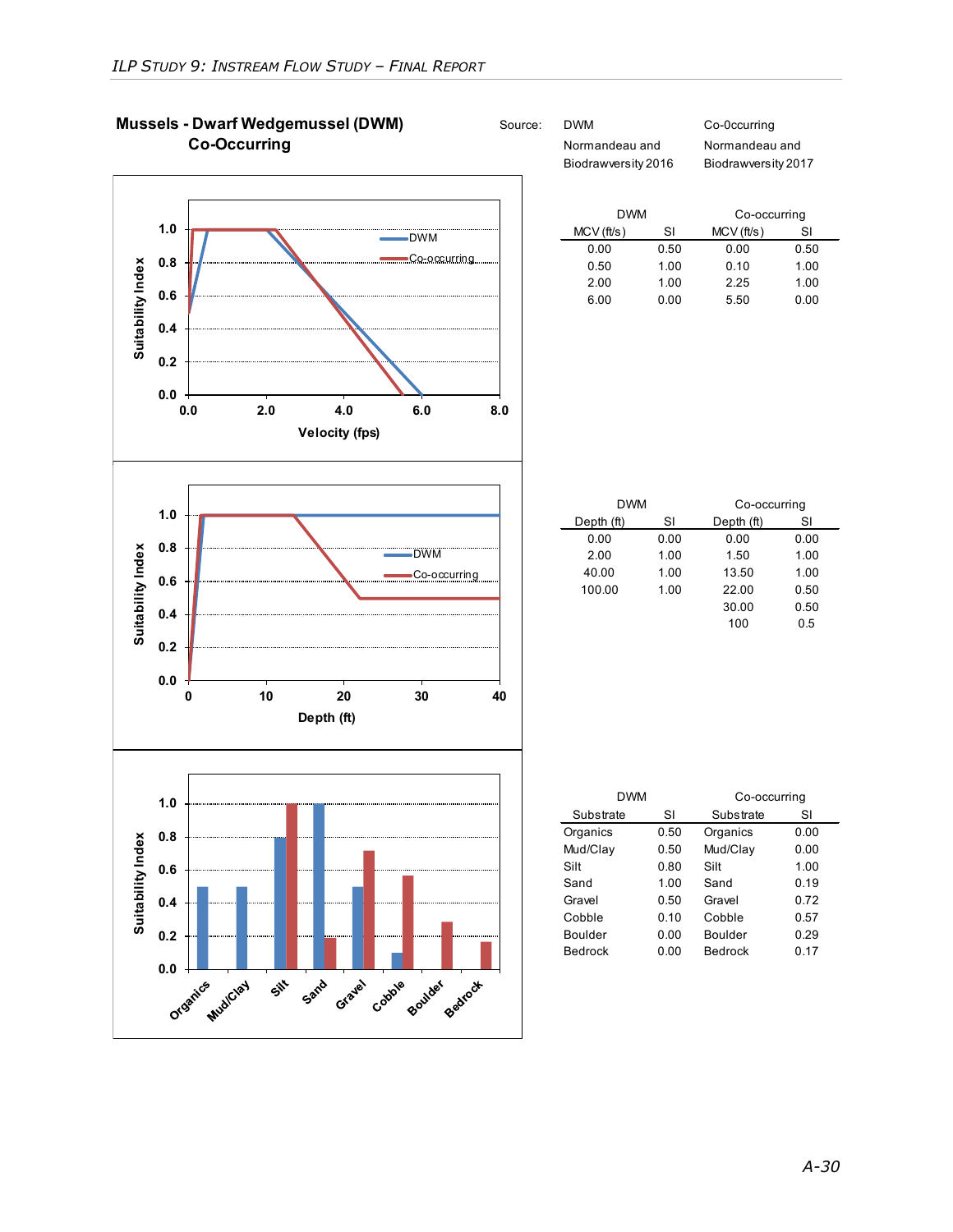

**Mussels - Dwarf Wedgemussel (DWM)** Source: DWM Co-0ccurring

**Co-Occurring Co-Occurring Co-Occurring Normandeau and Normandeau and Normandeau and** Biodrawversity 2016 Biodrawversity 2017

| <b>DWM</b>         |      |                              |
|--------------------|------|------------------------------|
| $MCV$ (ft/s)<br>SI |      | SI                           |
| 0.50               | 0.00 | 0.50                         |
| 1.00               | 0.10 | 1.00                         |
| 1.00               | 2.25 | 1.00                         |
| 0.00               | 5.50 | 0.00                         |
|                    |      | Co-occurring<br>$MCV$ (ft/s) |

| <b>DWM</b> |      | Co-occurring |      |  |
|------------|------|--------------|------|--|
| Depth (ft) | SI   | Depth (ft)   | SI   |  |
| 0.00       | 0.00 | 0.00         | 0.00 |  |
| 2.00       | 1.00 | 1.50         | 1.00 |  |
| 40.00      | 1.00 | 13.50        | 1.00 |  |
| 100.00     | 1.00 | 22.00        | 0.50 |  |
|            |      | 30.00        | 0.50 |  |
|            |      | 100          | 0.5  |  |

| DWM            |      | Co-occurring   |      |
|----------------|------|----------------|------|
| Substrate      | SI   | Substrate      | SI   |
| Organics       | 0.50 | Organics       | 0.00 |
| Mud/Clay       | 0.50 | Mud/Clay       | 0.00 |
| Silt           | 0.80 | Silt           | 1.00 |
| Sand           | 1.00 | Sand           | 0.19 |
| Gravel         | 0.50 | Gravel         | 0.72 |
| Cobble         | 0.10 | Cobble         | 0.57 |
| Boulder        | 0.00 | Boulder        | 0.29 |
| <b>Bedrock</b> | 0.00 | <b>Bedrock</b> | በ 17 |

*A-30*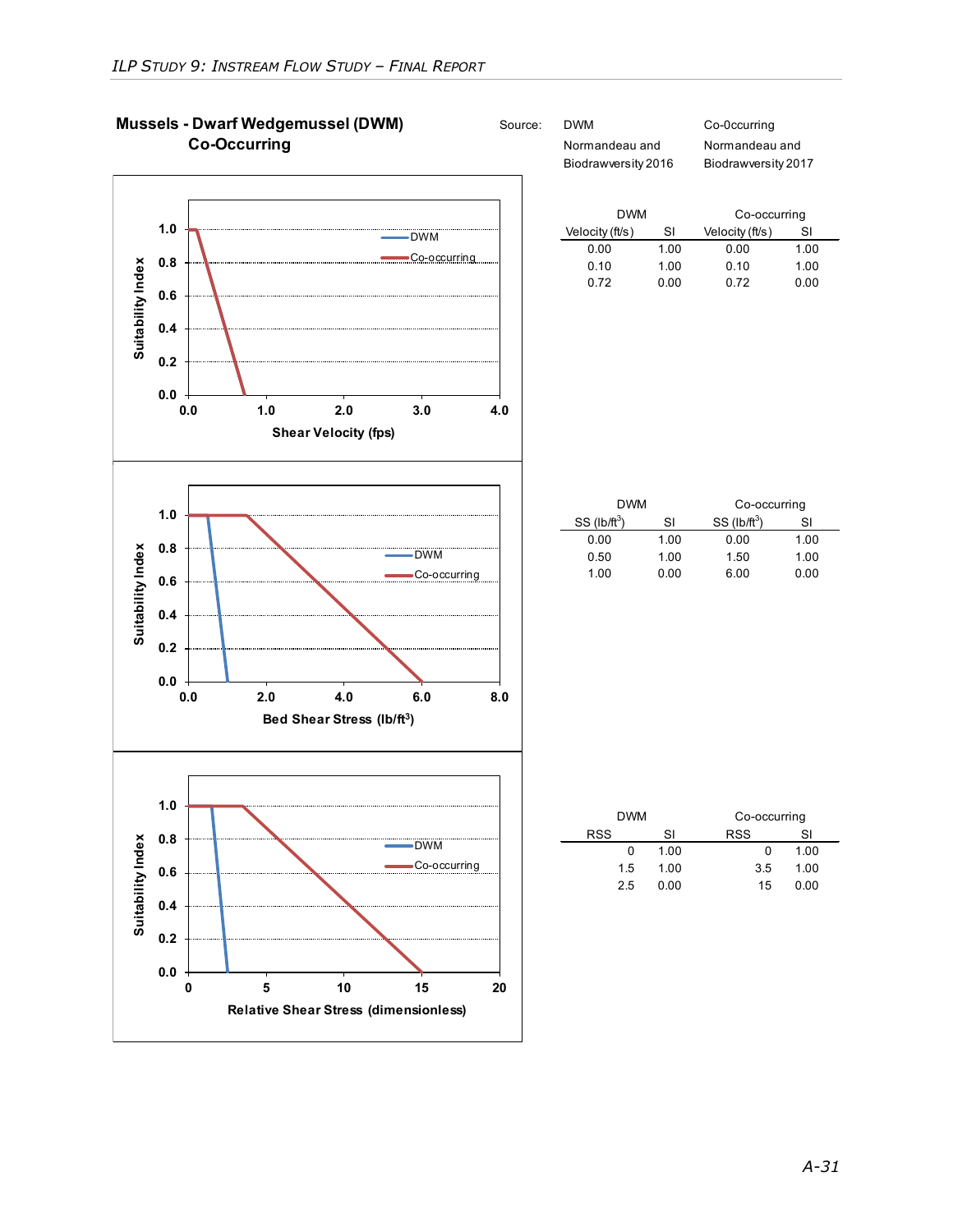

| Mussels - Dwarf Wedgemussel (DWM) | Source: | <b>DWM</b>     | Co-0ccurring |
|-----------------------------------|---------|----------------|--------------|
| Co-Occurring                      |         | Normandeau and | Normandeau   |
|                                   |         |                |              |

**Normandeau and Mormandeau and** Biodrawversity 2016 Biodrawversity 2017

| <b>DWM</b>      |      | Co-occurring    |      |  |
|-----------------|------|-----------------|------|--|
| Velocity (ft/s) | SI   | Velocity (ft/s) | SI   |  |
| 0.00            | 1.00 | 0.00            | 1.00 |  |
| 0.10            | 1.00 | 0.10            | 1.00 |  |
| 0.72            | 0.00 | 0.72            | 0.00 |  |

| <b>DWM</b> |                            | Co-occurring |                          |      |
|------------|----------------------------|--------------|--------------------------|------|
|            | $SS$ (lb/ft <sup>3</sup> ) | SI           | SS (lb/ft <sup>3</sup> ) | SI   |
|            | 0.00                       | 1.00         | 0.00                     | 1.00 |
|            | 0.50                       | 1.00         | 1.50                     | 1.00 |
|            | 1.00                       | 0.00         | 6.00                     | 0.00 |

| <b>DWM</b> |      | Co-occurring |      |
|------------|------|--------------|------|
| <b>RSS</b> | SI   | <b>RSS</b>   | SI   |
| 0          | 1.00 | O            | 1.00 |
| 15         | 1.00 | 3.5          | 1.00 |
| 25         | 0.00 | 15           | 0.00 |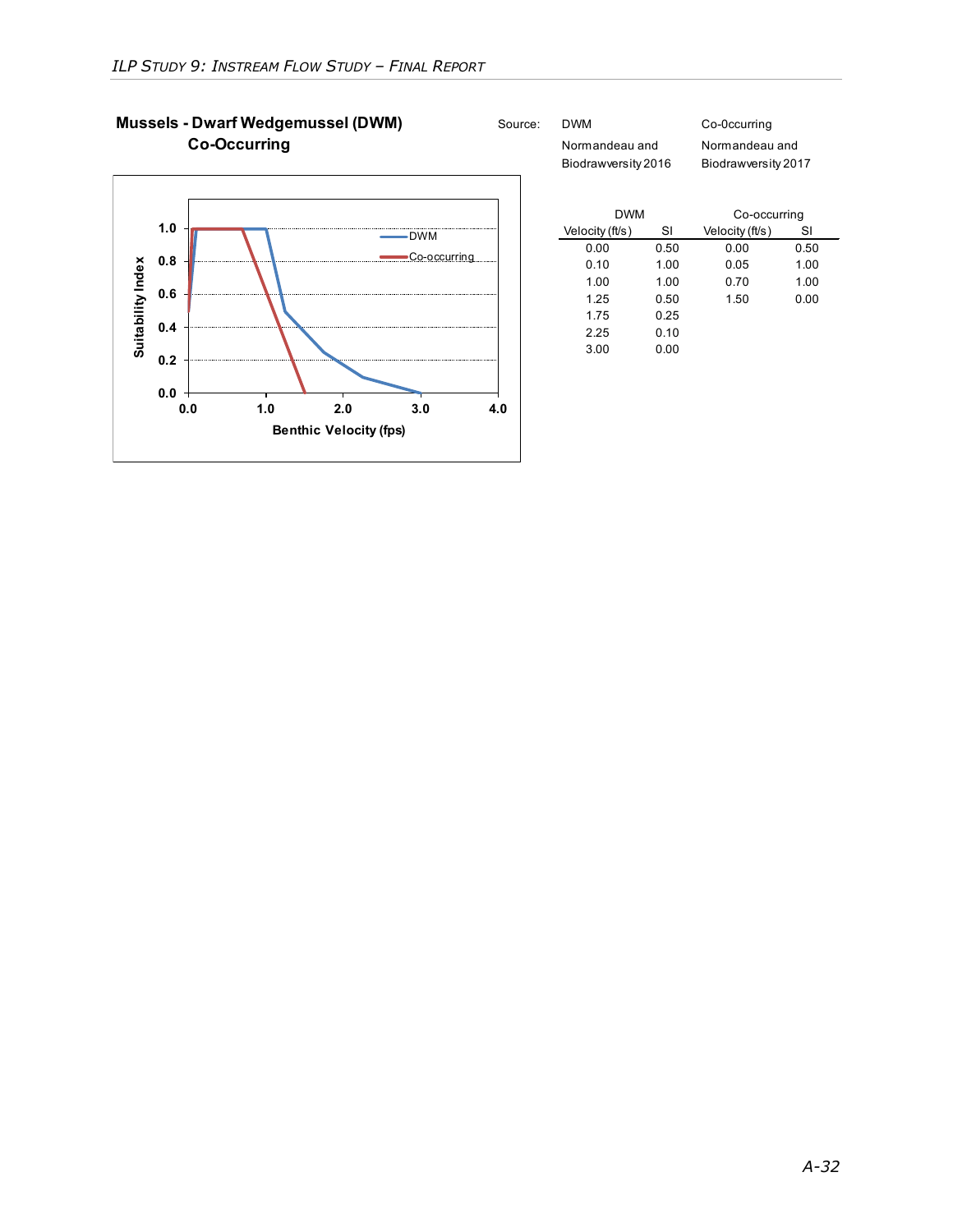

| <b>Mussels - Dwarf Wedgemussel (DWM)</b> |  |
|------------------------------------------|--|
| Co-Occurring                             |  |

Source: DWM Co-0ccurring **Normandeau and Mormandeau and Normandeau and Normandeau and Norman<br>Biodrawversity 2016 Biodrawversity 2017** Biodrawversity 2016

| <b>DWM</b>       |      | Co-occurring    |      |  |
|------------------|------|-----------------|------|--|
| Velocity (ft/s ) | SI   | Velocity (ft/s) | SI   |  |
| 0.00             | 0.50 | 0.00            | 0.50 |  |
| 0.10             | 1.00 | 0.05            | 1.00 |  |
| 1.00             | 1.00 | 0.70            | 1.00 |  |
| 1.25             | 0.50 | 1.50            | 0.00 |  |
| 1.75             | 0.25 |                 |      |  |
| 2.25             | 0.10 |                 |      |  |
| 3.00             | 0.00 |                 |      |  |

*A-32*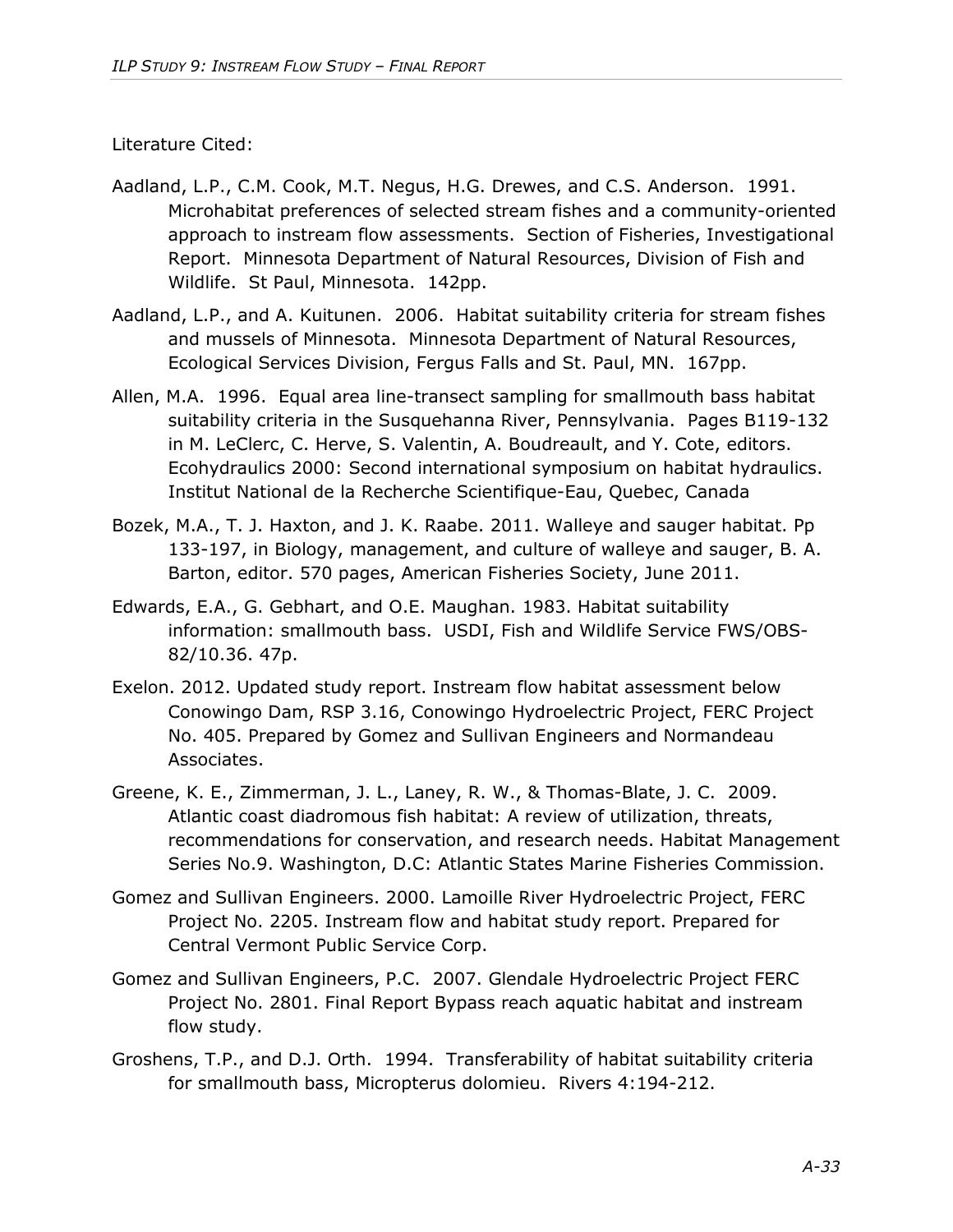Literature Cited:

- Aadland, L.P., C.M. Cook, M.T. Negus, H.G. Drewes, and C.S. Anderson. 1991. Microhabitat preferences of selected stream fishes and a community-oriented approach to instream flow assessments. Section of Fisheries, Investigational Report. Minnesota Department of Natural Resources, Division of Fish and Wildlife. St Paul, Minnesota. 142pp.
- Aadland, L.P., and A. Kuitunen. 2006. Habitat suitability criteria for stream fishes and mussels of Minnesota. Minnesota Department of Natural Resources, Ecological Services Division, Fergus Falls and St. Paul, MN. 167pp.
- Allen, M.A. 1996. Equal area line-transect sampling for smallmouth bass habitat suitability criteria in the Susquehanna River, Pennsylvania. Pages B119-132 in M. LeClerc, C. Herve, S. Valentin, A. Boudreault, and Y. Cote, editors. Ecohydraulics 2000: Second international symposium on habitat hydraulics. Institut National de la Recherche Scientifique-Eau, Quebec, Canada
- Bozek, M.A., T. J. Haxton, and J. K. Raabe. 2011. Walleye and sauger habitat. Pp 133-197, in Biology, management, and culture of walleye and sauger, B. A. Barton, editor. 570 pages, American Fisheries Society, June 2011.
- Edwards, E.A., G. Gebhart, and O.E. Maughan. 1983. Habitat suitability information: smallmouth bass. USDI, Fish and Wildlife Service FWS/OBS-82/10.36. 47p.
- Exelon. 2012. Updated study report. Instream flow habitat assessment below Conowingo Dam, RSP 3.16, Conowingo Hydroelectric Project, FERC Project No. 405. Prepared by Gomez and Sullivan Engineers and Normandeau Associates.
- Greene, K. E., Zimmerman, J. L., Laney, R. W., & Thomas-Blate, J. C. 2009. Atlantic coast diadromous fish habitat: A review of utilization, threats, recommendations for conservation, and research needs. Habitat Management Series No.9. Washington, D.C: Atlantic States Marine Fisheries Commission.
- Gomez and Sullivan Engineers. 2000. Lamoille River Hydroelectric Project, FERC Project No. 2205. Instream flow and habitat study report. Prepared for Central Vermont Public Service Corp.
- Gomez and Sullivan Engineers, P.C. 2007. Glendale Hydroelectric Project FERC Project No. 2801. Final Report Bypass reach aquatic habitat and instream flow study.
- Groshens, T.P., and D.J. Orth. 1994. Transferability of habitat suitability criteria for smallmouth bass, Micropterus dolomieu. Rivers 4:194-212.